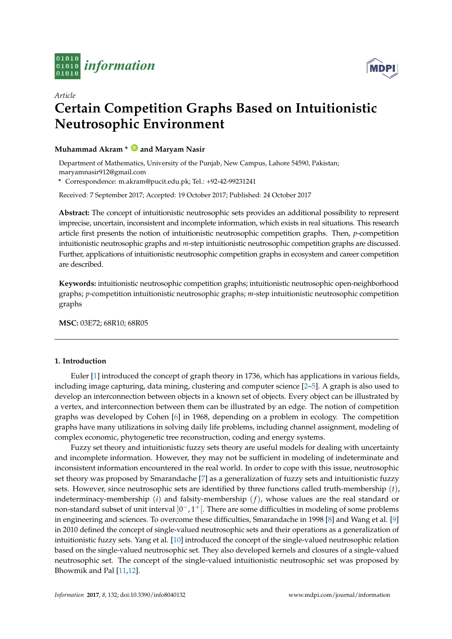



# *Article* **Certain Competition Graphs Based on Intuitionistic Neutrosophic Environment**

# **Muhammad Akram \* [ID](https://orcid.org/0000-0001-7217-7962) and Maryam Nasir**

Department of Mathematics, University of the Punjab, New Campus, Lahore 54590, Pakistan; maryamnasir912@gmail.com

**\*** Correspondence: m.akram@pucit.edu.pk; Tel.: +92-42-99231241

Received: 7 September 2017; Accepted: 19 October 2017; Published: 24 October 2017

**Abstract:** The concept of intuitionistic neutrosophic sets provides an additional possibility to represent imprecise, uncertain, inconsistent and incomplete information, which exists in real situations. This research article first presents the notion of intuitionistic neutrosophic competition graphs. Then, *p*-competition intuitionistic neutrosophic graphs and *m*-step intuitionistic neutrosophic competition graphs are discussed. Further, applications of intuitionistic neutrosophic competition graphs in ecosystem and career competition are described.

**Keywords:** intuitionistic neutrosophic competition graphs; intuitionistic neutrosophic open-neighborhood graphs; *p*-competition intuitionistic neutrosophic graphs; *m*-step intuitionistic neutrosophic competition graphs

**MSC:** 03E72; 68R10; 68R05

# **1. Introduction**

Euler [\[1\]](#page-23-0) introduced the concept of graph theory in 1736, which has applications in various fields, including image capturing, data mining, clustering and computer science [\[2–](#page-23-1)[5\]](#page-24-0). A graph is also used to develop an interconnection between objects in a known set of objects. Every object can be illustrated by a vertex, and interconnection between them can be illustrated by an edge. The notion of competition graphs was developed by Cohen [\[6\]](#page-24-1) in 1968, depending on a problem in ecology. The competition graphs have many utilizations in solving daily life problems, including channel assignment, modeling of complex economic, phytogenetic tree reconstruction, coding and energy systems.

Fuzzy set theory and intuitionistic fuzzy sets theory are useful models for dealing with uncertainty and incomplete information. However, they may not be sufficient in modeling of indeterminate and inconsistent information encountered in the real world. In order to cope with this issue, neutrosophic set theory was proposed by Smarandache [\[7\]](#page-24-2) as a generalization of fuzzy sets and intuitionistic fuzzy sets. However, since neutrosophic sets are identified by three functions called truth-membership (*t*), indeterminacy-membership (*i*) and falsity-membership (*f*), whose values are the real standard or non-standard subset of unit interval  $]0^-,1^+[$ . There are some difficulties in modeling of some problems in engineering and sciences. To overcome these difficulties, Smarandache in 1998 [\[8\]](#page-24-3) and Wang et al. [\[9\]](#page-24-4) in 2010 defined the concept of single-valued neutrosophic sets and their operations as a generalization of intuitionistic fuzzy sets. Yang et al. [\[10\]](#page-24-5) introduced the concept of the single-valued neutrosophic relation based on the single-valued neutrosophic set. They also developed kernels and closures of a single-valued neutrosophic set. The concept of the single-valued intuitionistic neutrosophic set was proposed by Bhowmik and Pal [\[11](#page-24-6)[,12\]](#page-24-7).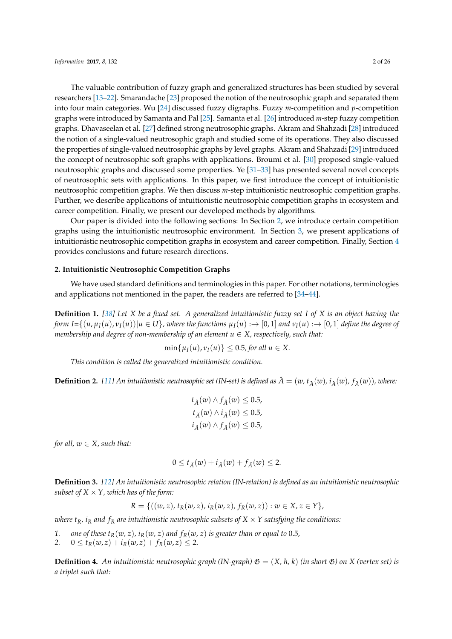The valuable contribution of fuzzy graph and generalized structures has been studied by several researchers [\[13–](#page-24-8)[22\]](#page-24-9). Smarandache [\[23\]](#page-24-10) proposed the notion of the neutrosophic graph and separated them into four main categories. Wu [\[24\]](#page-24-11) discussed fuzzy digraphs. Fuzzy *m*-competition and *p*-competition graphs were introduced by Samanta and Pal [\[25\]](#page-24-12). Samanta et al. [\[26\]](#page-24-13) introduced *m*-step fuzzy competition graphs. Dhavaseelan et al. [\[27\]](#page-24-14) defined strong neutrosophic graphs. Akram and Shahzadi [\[28\]](#page-24-15) introduced the notion of a single-valued neutrosophic graph and studied some of its operations. They also discussed the properties of single-valued neutrosophic graphs by level graphs. Akram and Shahzadi [\[29\]](#page-24-16) introduced the concept of neutrosophic soft graphs with applications. Broumi et al. [\[30\]](#page-24-17) proposed single-valued neutrosophic graphs and discussed some properties. Ye [\[31](#page-24-18)[–33\]](#page-25-0) has presented several novel concepts of neutrosophic sets with applications. In this paper, we first introduce the concept of intuitionistic neutrosophic competition graphs. We then discuss *m*-step intuitionistic neutrosophic competition graphs. Further, we describe applications of intuitionistic neutrosophic competition graphs in ecosystem and career competition. Finally, we present our developed methods by algorithms.

Our paper is divided into the following sections: In Section [2,](#page-1-0) we introduce certain competition graphs using the intuitionistic neutrosophic environment. In Section [3,](#page-18-0) we present applications of intuitionistic neutrosophic competition graphs in ecosystem and career competition. Finally, Section [4](#page-23-2) provides conclusions and future research directions.

# <span id="page-1-0"></span>**2. Intuitionistic Neutrosophic Competition Graphs**

We have used standard definitions and terminologies in this paper. For other notations, terminologies and applications not mentioned in the paper, the readers are referred to [\[34–](#page-25-1)[44\]](#page-25-2).

**Definition 1.** *[\[38\]](#page-25-3) Let X be a fixed set. A generalized intuitionistic fuzzy set I of X is an object having the* form I= $\{(u,\mu_I(u),\nu_I(u)) | u \in U\}$ , where the functions  $\mu_I(u) : \to [0,1]$  and  $\nu_I(u) : \to [0,1]$  define the degree of *membership and degree of non-membership of an element*  $u \in X$ *, respectively, such that:* 

$$
\min\{\mu_I(u),\nu_I(u)\}\leq 0.5, \text{ for all } u\in X.
$$

*This condition is called the generalized intuitionistic condition.*

**Definition 2.** [\[11\]](#page-24-6) An intuitionistic neutrosophic set (IN-set) is defined as  $\breve{A} = (w, t_A(w), i_A(w), f_A(w))$ , where:

$$
t_{\check{A}}(w) \wedge f_{\check{A}}(w) \le 0.5,
$$
  

$$
t_{\check{A}}(w) \wedge i_{\check{A}}(w) \le 0.5,
$$
  

$$
i_{\check{A}}(w) \wedge f_{\check{A}}(w) \le 0.5,
$$

*for all,*  $w \in X$ *, such that:* 

$$
0 \leq t_{\check{A}}(w) + i_{\check{A}}(w) + f_{\check{A}}(w) \leq 2.
$$

**Definition 3.** *[\[12\]](#page-24-7) An intuitionistic neutrosophic relation (IN-relation) is defined as an intuitionistic neutrosophic subset of*  $X \times Y$ *, which has of the form:* 

$$
R = \{((w, z), t_R(w, z), i_R(w, z), f_R(w, z)) : w \in X, z \in Y\},\
$$

*where*  $t_R$ *, i<sub>R</sub>* and  $f_R$  are intuitionistic neutrosophic subsets of  $X \times Y$  satisfying the conditions:

- *1. one of these t*<sub>*R*</sub>(*w, z*)*, i<sub>R</sub>*(*w, z*) *and f<sub>R</sub>*(*w, z*) *is greater than or equal to* 0.5*,*
- $0 \le t_R(w, z) + i_R(w, z) + f_R(w, z) \le 2.$

**Definition 4.** An intuitionistic neutrosophic graph (IN-graph)  $\mathfrak{G} = (X, h, k)$  (in short  $\mathfrak{G}$ ) on X (vertex set) is *a triplet such that:*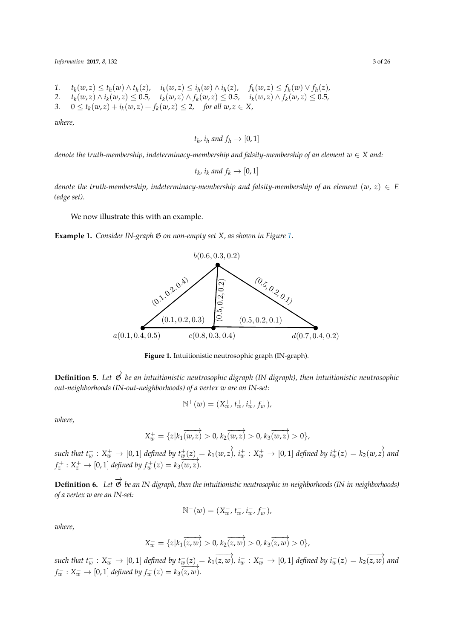*Information* **2017**, *8*, 132 3 of 26

- 1.  $t_k(w, z) \le t_h(w) \wedge t_h(z)$ ,  $i_k(w, z) \le i_h(w) \wedge i_h(z)$ ,  $f_k(w, z) \le f_h(w) \vee f_h(z)$ ,
- *2. t<sup>k</sup>*  $(w, z) \wedge i_k(w, z) \leq 0.5$ ,  $t_k(w, z) \wedge f_k(w, z) \leq 0.5$ ,  $i_k(w, z) \wedge f_k(w, z) \leq 0.5$ ,
- 3.  $0 \le t_k(w, z) + i_k(w, z) + f_k(w, z) \le 2$ , for all  $w, z \in X$ ,

*where,*

 $t_h$ ,  $i_h$  and  $f_h \rightarrow [0, 1]$ 

*denote the truth-membership, indeterminacy-membership and falsity-membership of an element*  $w \in X$  *and:* 

$$
t_k
$$
,  $i_k$  and  $f_k \rightarrow [0,1]$ 

*denote the truth-membership, indeterminacy-membership and falsity-membership of an element*  $(w, z) \in E$ *(edge set).*

We now illustrate this with an example.

<span id="page-2-0"></span>**Example 1.** *Consider IN-graph* G *on non-empty set X, as shown in Figure [1.](#page-2-0)*



**Figure 1.** Intuitionistic neutrosophic graph (IN-graph).

**Definition 5.** Let  $\vec{\mathcal{G}}$  be an intuitionistic neutrosophic digraph (IN-digraph), then intuitionistic neutrosophic *out-neighborhoods (IN-out-neighborhoods) of a vertex w are an IN-set:*

$$
\mathbb{N}^+(w) = (X_w^+, t_w^+, i_w^+, f_w^+),
$$

*where,*

$$
X_w^+ = \{z | k_1(w,z) > 0, k_2(w,z) > 0, k_3(w,z) > 0\},\
$$

such that  $t_w^+ : X_w^+ \to [0,1]$  defined by  $t_w^+(z) = k_1(\overrightarrow{w,z})$ ,  $i_w^+ : X_w^+ \to [0,1]$  defined by  $i_w^+(z) = k_2(\overrightarrow{w,z})$  and  $f_z^+ : X_z^+ \to [0,1]$  *defined by*  $f_w^+(z) = k_3 \overline{(w,z)}$ .

**Definition 6.** *Let*  $\overrightarrow{\mathcal{B}}$  *be an IN-digraph, then the intuitionistic neutrosophic in-neighborhoods (IN-in-neighborhoods) of a vertex w are an IN-set:*

$$
\mathbb{N}^-(w) = (X_w^-, t_w^-, i_w^-, f_w^-),
$$

*where,*

$$
X_w^- = \{z | k_1(\overrightarrow{z,w}) > 0, k_2(\overrightarrow{z,w}) > 0, k_3(\overrightarrow{z,w}) > 0\},\
$$

such that  $t_w^-: X_w^-\to [0,1]$  defined by  $t_w^-(z)=k_1\overline{(z,w)}$ ,  $i_w^-: X_w^-\to [0,1]$  defined by  $i_w^-(z)=k_2\overline{(z,w)}$  and  $f_w^-: X_w^- \to [0,1]$  *defined by*  $f_w^-(z) = k_3 \overrightarrow{(z,w)}$ .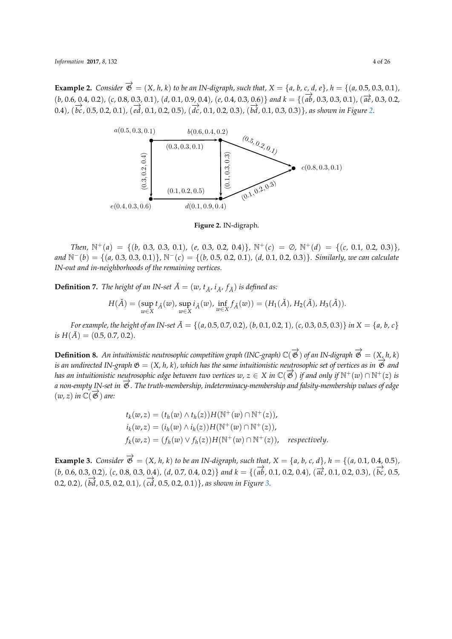<span id="page-3-0"></span>**Example 2.** Consider  $\vec{\mathcal{B}} = (X, h, k)$  to be an IN-digraph, such that,  $X = \{a, b, c, d, e\}$ ,  $h = \{(a, 0.5, 0.3, 0.1),$ (*b,* 0.6*,* 0.4*,* 0.2)*,* (*c,* 0.8*,* 0.3*,* 0.1)*,* (*d,* 0.1*,* 0.9*,* 0.4)*,* (*e,* 0.4*,* 0.3*,* 0.6)} *and k* = {( −→*ab,* 0.3*,* 0.3*,* 0.1)*,* ( −→*ae ,* 0.3*,* 0.2*,* 0.4),  $(\overrightarrow{bc}, 0.5, 0.2, 0.1)$ ,  $(\overrightarrow{ed}, 0.1, 0.2, 0.5)$ ,  $(\overrightarrow{dc}, 0.1, 0.2, 0.3)$ ,  $(\overrightarrow{bd}, 0.1, 0.3, 0.3)$ }, as shown in Figure [2.](#page-3-0)



**Figure 2.** IN-digraph.

*Then,*  $N^+(a) = \{(b, 0.3, 0.3, 0.1), (e, 0.3, 0.2, 0.4)\}, N^+(c) = \emptyset, N^+(d) = \{(c, 0.1, 0.2, 0.3)\},\}$ *and* <sup>N</sup>−(*b*) = {(*a,* 0.3*,* 0.3*,* 0.1)}*,* <sup>N</sup>−(*c*) = {(*b,* 0.5*,* 0.2*,* 0.1)*,* (*d,* 0.1*,* 0.2*,* 0.3)}*. Similarly, we can calculate IN-out and in-neighborhoods of the remaining vertices.*

**Definition 7.** *The height of an IN-set*  $\check{A} = (w, t_{\check{A}}, i_{\check{A}}, f_{\check{A}})$  *is defined as:* 

$$
H(\check{A}) = (\sup_{w \in X} t_{\check{A}}(w), \sup_{w \in X} i_{\check{A}}(w), \inf_{w \in X} f_{\check{A}}(w)) = (H_1(\check{A}), H_2(\check{A}), H_3(\check{A})).
$$

For example, the height of an IN-set  $\check{A} = \{(a, 0.5, 0.7, 0.2), (b, 0.1, 0.2, 1), (c, 0.3, 0.5, 0.3)\}\$ in  $X = \{a, b, c\}$  $i s H(\check{A}) = (0.5, 0.7, 0.2)$ .

**Definition 8.** An intuitionistic neutrosophic competition graph (INC-graph)  $\mathbb{C}(\overrightarrow{\mathfrak{G}})$  of an IN-digraph  $\overrightarrow{\mathfrak{G}} = (X,h,k)$ *is an undirected IN-graph*  $\mathfrak{G} = (X, h, k)$ , which has the same intuitionistic neutrosophic set of vertices as in  $\overrightarrow{\mathfrak{G}}$  and *has an intuitionistic neutrosophic edge between two vertices*  $w,z\in X$  *in*  $\mathbb{C}(\overrightarrow{\mathfrak{G}})$  *if and only if*  $\mathbb{N}^+(w)\cap\mathbb{N}^+(z)$  *is a non-empty IN-set in*  $\vec{\mathcal{B}}$ . The truth-membership, indeterminacy-membership and falsity-membership values of edge  $(w, z)$  *in*  $\mathbb{C}(\overrightarrow{\mathfrak{G}})$  are:

$$
t_k(w, z) = (t_h(w) \wedge t_h(z))H(N^+(w) \cap N^+(z)),
$$
  
\n
$$
i_k(w, z) = (i_h(w) \wedge i_h(z))H(N^+(w) \cap N^+(z)),
$$
  
\n
$$
f_k(w, z) = (f_h(w) \vee f_h(z))H(N^+(w) \cap N^+(z)), respectively.
$$

**Example 3.** Consider  $\vec{\mathfrak{G}} = (X, h, k)$  to be an IN-digraph, such that,  $X = \{a, b, c, d\}$ ,  $h = \{(a, 0.1, 0.4, 0.5),$  $(b, 0.6, 0.3, 0.2), (c, 0.8, 0.3, 0.4), (d, 0.7, 0.4, 0.2)$  and  $k = \{(\overrightarrow{ab}, 0.1, 0.2, 0.4), (\overrightarrow{ac}, 0.1, 0.2, 0.3), (\overrightarrow{bc}, 0.5, 0.5, 0.5)\}$ 0.2, 0.2), ( $\overrightarrow{bd}$ , 0.5, 0.2, 0.1), ( $\overrightarrow{cd}$ , 0.5, 0.2, 0.1)}, as shown in Figure [3.](#page-4-0)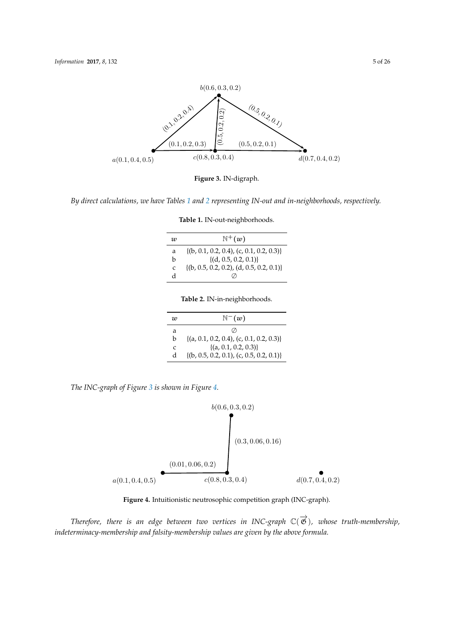<span id="page-4-0"></span>

**Figure 3.** IN-digraph.

<span id="page-4-2"></span><span id="page-4-1"></span>*By direct calculations, we have Tables [1](#page-4-1) and [2](#page-4-2) representing IN-out and in-neighborhoods, respectively.*

| w | $\mathbb{N}^+(w)$                             |
|---|-----------------------------------------------|
| a | $\{(b, 0.1, 0.2, 0.4), (c, 0.1, 0.2, 0.3)\}\$ |
| h | $\{(d, 0.5, 0.2, 0.1)\}\$                     |
| C | $\{(b, 0.5, 0.2, 0.2), (d, 0.5, 0.2, 0.1)\}\$ |
| d |                                               |

**Table 1.** IN-out-neighborhoods.

| Table 2. IN-in-neighborhoods. |  |
|-------------------------------|--|
|-------------------------------|--|

| w | $\mathbb{N}^-(w)$                             |
|---|-----------------------------------------------|
| a | $\left( \frac{\ }{2}\right)$                  |
| h | $\{(a, 0.1, 0.2, 0.4), (c, 0.1, 0.2, 0.3)\}\$ |
| C | $\{(a, 0.1, 0.2, 0.3)\}\$                     |
| d | $\{(b, 0.5, 0.2, 0.1), (c, 0.5, 0.2, 0.1)\}\$ |

<span id="page-4-3"></span>*The INC-graph of Figure [3](#page-4-0) is shown in Figure [4.](#page-4-3)*



**Figure 4.** Intuitionistic neutrosophic competition graph (INC-graph).

 $\tau$ herefore, there is an edge between two vertices in INC-graph ℂ(で), whose truth-membership, *indeterminacy-membership and falsity-membership values are given by the above formula.*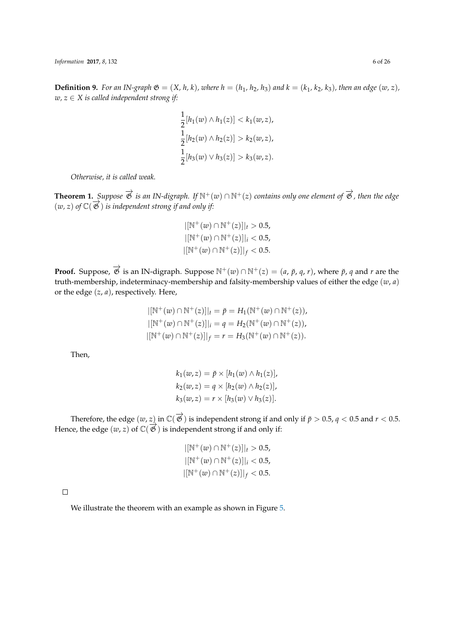*Information* **2017**, *8*, 132 6 of 26

**Definition 9.** For an IN-graph  $\mathfrak{G} = (X, h, k)$ , where  $h = (h_1, h_2, h_3)$  and  $k = (k_1, k_2, k_3)$ , then an edge  $(w, z)$ , *w, z* ∈ *X is called independent strong if:*

$$
\frac{1}{2}[h_1(w) \wedge h_1(z)] < k_1(w, z),
$$
  
\n
$$
\frac{1}{2}[h_2(w) \wedge h_2(z)] > k_2(w, z),
$$
  
\n
$$
\frac{1}{2}[h_3(w) \vee h_3(z)] > k_3(w, z).
$$

*Otherwise, it is called weak.*

**Theorem 1.** *Suppose*  $\overrightarrow{\mathfrak{G}}$  *is an IN-digraph.* If  $\mathbb{N}^+(w) \cap \mathbb{N}^+(z)$  *contains only one element of*  $\overrightarrow{\mathfrak{G}}$ *, then the edge*  $(w, z)$  of  $\mathbb{C}(\overrightarrow{\mathfrak{G}})$  *is independent strong if and only if:* 

$$
|[\mathbb{N}^+(w) \cap \mathbb{N}^+(z)]|_t > 0.5,
$$
  
 
$$
|[\mathbb{N}^+(w) \cap \mathbb{N}^+(z)]|_i < 0.5,
$$
  
 
$$
|[\mathbb{N}^+(w) \cap \mathbb{N}^+(z)]|_f < 0.5.
$$

**Proof.** Suppose,  $\overrightarrow{\mathcal{B}}$  is an IN-digraph. Suppose  $\mathbb{N}^+(w) \cap \mathbb{N}^+(z) = (a, \breve{p}, q, r)$ , where  $\breve{p}$ , *q* and *r* are the truth-membership, indeterminacy-membership and falsity-membership values of either the edge (*w*, *a*) or the edge (*z*, *a*), respectively. Here,

$$
|[\mathbb{N}^+(w) \cap \mathbb{N}^+(z)]|_t = \check{p} = H_1(\mathbb{N}^+(w) \cap \mathbb{N}^+(z)),
$$
  
\n
$$
|[\mathbb{N}^+(w) \cap \mathbb{N}^+(z)]|_i = q = H_2(\mathbb{N}^+(w) \cap \mathbb{N}^+(z)),
$$
  
\n
$$
|[\mathbb{N}^+(w) \cap \mathbb{N}^+(z)]|_f = r = H_3(\mathbb{N}^+(w) \cap \mathbb{N}^+(z)).
$$

Then,

$$
k_1(w, z) = \check{p} \times [h_1(w) \wedge h_1(z)],
$$
  
\n
$$
k_2(w, z) = q \times [h_2(w) \wedge h_2(z)],
$$
  
\n
$$
k_3(w, z) = r \times [h_3(w) \vee h_3(z)].
$$

Therefore, the edge  $(w, z)$  in  $\mathbb{C}(\overrightarrow{\mathfrak{G}})$  is independent strong if and only if  $\breve{p} > 0.5$ ,  $q < 0.5$  and  $r < 0.5$ . Hence, the edge  $(w, z)$  of  $\mathbb{C}(\overrightarrow{B})$  is independent strong if and only if:

$$
|[\mathbb{N}^+(w) \cap \mathbb{N}^+(z)]|_t > 0.5,
$$
  
\n
$$
|[\mathbb{N}^+(w) \cap \mathbb{N}^+(z)]|_i < 0.5,
$$
  
\n
$$
|[\mathbb{N}^+(w) \cap \mathbb{N}^+(z)]|_f < 0.5.
$$

 $\Box$ 

We illustrate the theorem with an example as shown in Figure [5.](#page-6-0)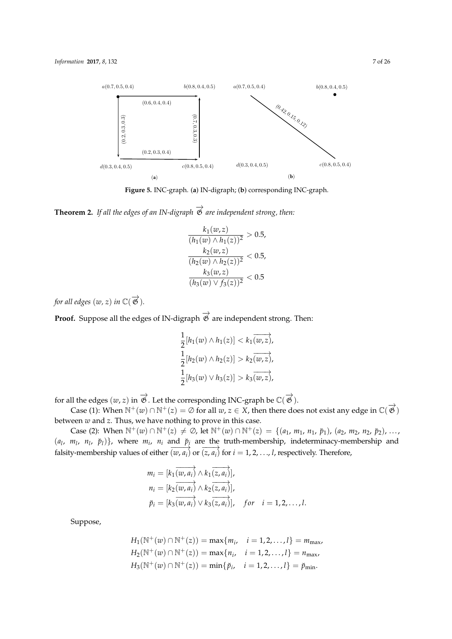<span id="page-6-0"></span>

**Figure 5.** INC-graph. (**a**) IN-digraph; (**b**) corresponding INC-graph.

**Theorem 2.** *If all the edges of an IN-digraph*  $\overrightarrow{\mathcal{G}}$  *are independent strong, then:* 

$$
\frac{k_1(w, z)}{(h_1(w) \land h_1(z))^2} > 0.5,
$$
  
\n
$$
\frac{k_2(w, z)}{(h_2(w) \land h_2(z))^2} < 0.5,
$$
  
\n
$$
\frac{k_3(w, z)}{(h_3(w) \lor f_3(z))^2} < 0.5
$$

for all edges  $(w, z)$  in  $\mathbb{C}(\overrightarrow{\mathfrak{G}})$ .

**Proof.** Suppose all the edges of IN-digraph  $\overrightarrow{\mathfrak{G}}$  are independent strong. Then:

$$
\frac{1}{2}[h_1(w) \wedge h_1(z)] < k_1(\overrightarrow{w,z}),
$$
  
\n
$$
\frac{1}{2}[h_2(w) \wedge h_2(z)] > k_2(\overrightarrow{w,z}),
$$
  
\n
$$
\frac{1}{2}[h_3(w) \vee h_3(z)] > k_3(\overrightarrow{w,z}),
$$

for all the edges  $(w, z)$  in  $\overrightarrow{\mathfrak{G}}$  . Let the corresponding INC-graph be  $\mathbb{C}(\overrightarrow{\mathfrak{G}})$ .

Case (1): When  $N^+(w) \cap N^+(z) = \emptyset$  for all  $w, z \in X$ , then there does not exist any edge in  $\mathbb{C}(\overrightarrow{\mathfrak{G}})$ between *w* and *z*. Thus, we have nothing to prove in this case.

Case (2): When  $\mathbb{N}^+(w) \cap \mathbb{N}^+(z) \neq \emptyset$ , let  $\mathbb{N}^+(w) \cap \mathbb{N}^+(z) = \{(a_1, m_1, n_1, p_1), (a_2, m_2, n_2, p_2), ...,$  $(a_1, m_1, n_1, \nvert p_1)$ , where  $m_i$ ,  $n_i$  and  $p_i$  are the truth-membership, indeterminacy-membership and falsity-membership values of either  $\overrightarrow{(w, a_i)}$  or  $\overrightarrow{(z, a_i)}$  for  $i = 1, 2, ..., l$ , respectively. Therefore,

$$
m_i = [k_1 \overrightarrow{(w, a_i)} \wedge k_1 \overrightarrow{(z, a_i)}],
$$
  
\n
$$
n_i = [k_2 \overrightarrow{(w, a_i)} \wedge k_2 \overrightarrow{(z, a_i)}],
$$
  
\n
$$
\tilde{p}_i = [k_3 \overrightarrow{(w, a_i)} \vee k_3 \overrightarrow{(z, a_i)}], \quad \text{for} \quad i = 1, 2, ..., l.
$$

Suppose,

$$
H_1(\mathbb{N}^+(w) \cap \mathbb{N}^+(z)) = \max\{m_i, \quad i = 1, 2, ..., l\} = m_{\text{max}},
$$
  
\n
$$
H_2(\mathbb{N}^+(w) \cap \mathbb{N}^+(z)) = \max\{n_i, \quad i = 1, 2, ..., l\} = n_{\text{max}},
$$
  
\n
$$
H_3(\mathbb{N}^+(w) \cap \mathbb{N}^+(z)) = \min\{\check{p}_i, \quad i = 1, 2, ..., l\} = \check{p}_{\text{min}}.
$$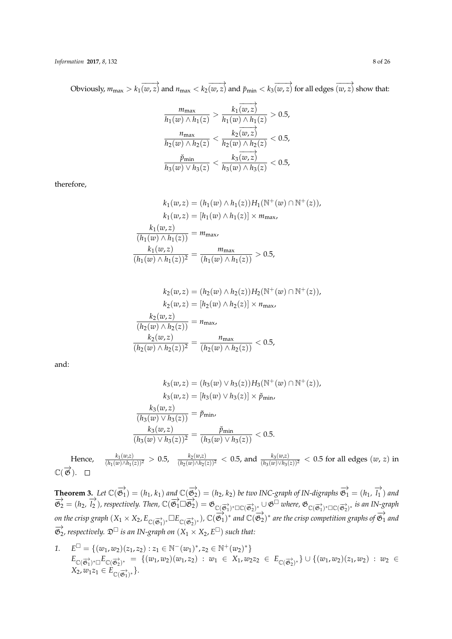$\sigma$ Obviously,  $m_{\text{max}} > k_1(\overrightarrow{w,z})$  and  $n_{\text{max}} < k_2(\overrightarrow{w,z})$  and  $\breve{p}_{\text{min}} < k_3(\overrightarrow{w,z})$  for all edges  $\overrightarrow{(w,z)}$  show that:

$$
\frac{m_{\max}}{h_1(w) \land h_1(z)} > \frac{k_1(w, z)}{h_1(w) \land h_1(z)} > 0.5,
$$
\n
$$
\frac{n_{\max}}{h_2(w) \land h_2(z)} < \frac{k_2(w, z)}{h_2(w) \land h_2(z)} < 0.5,
$$
\n
$$
\frac{\check{p}_{\min}}{h_3(w) \lor h_3(z)} < \frac{k_3(w, z)}{h_3(w) \land h_3(z)} < 0.5,
$$

therefore,

$$
k_1(w, z) = (h_1(w) \land h_1(z))H_1(\mathbb{N}^+(w) \cap \mathbb{N}^+(z)),
$$
  
\n
$$
k_1(w, z) = [h_1(w) \land h_1(z)] \times m_{\text{max}},
$$
  
\n
$$
\frac{k_1(w, z)}{(h_1(w) \land h_1(z))} = m_{\text{max}},
$$
  
\n
$$
\frac{k_1(w, z)}{(h_1(w) \land h_1(z))^2} = \frac{m_{\text{max}}}{(h_1(w) \land h_1(z))} > 0.5,
$$

$$
k_2(w, z) = (h_2(w) \land h_2(z))H_2(N^+(w) \cap N^+(z)),
$$
  
\n
$$
k_2(w, z) = [h_2(w) \land h_2(z)] \times n_{\text{max}},
$$
  
\n
$$
\frac{k_2(w, z)}{(h_2(w) \land h_2(z))} = n_{\text{max}},
$$
  
\n
$$
\frac{k_2(w, z)}{(h_2(w) \land h_2(z))^2} = \frac{n_{\text{max}}}{(h_2(w) \land h_2(z))} < 0.5,
$$

and:

$$
k_3(w, z) = (h_3(w) \lor h_3(z))H_3(\mathbb{N}^+(w) \cap \mathbb{N}^+(z)),
$$
  
\n
$$
k_3(w, z) = [h_3(w) \lor h_3(z)] \times \check{p}_{\min},
$$
  
\n
$$
\frac{k_3(w, z)}{(h_3(w) \lor h_3(z))} = \check{p}_{\min},
$$
  
\n
$$
\frac{k_3(w, z)}{(h_3(w) \lor h_3(z))^2} = \frac{\check{p}_{\min}}{(h_3(w) \lor h_3(z))} < 0.5.
$$

Hence, (*w*,*z*)  $\frac{k_1(w,z)}{(h_1(w)\wedge h_1(z))^2} > 0.5$ ,  $\frac{k_2(w,z)}{(h_2(w)\wedge h_2(z))^2} < 0.5$ , and  $\frac{k_3(w,z)}{(h_3(w)\vee h_3(z))^2} < 0.5$  for all edges  $(w, z)$  in  $\mathbb{C}(\overrightarrow{\mathfrak{G}}).$ 

**Theorem 3.** Let  $\mathbb{C}(\overrightarrow{\mathfrak{G}}_1) = (h_1, k_1)$  and  $\mathbb{C}(\overrightarrow{\mathfrak{G}}_2) = (h_2, k_2)$  be two INC-graph of IN-digraphs  $\overrightarrow{\mathfrak{G}}_1 = (h_1, \overrightarrow{l_1})$  and  $\overrightarrow{\mathfrak{G}}_2 = (h_2, \overrightarrow{l_2})$ , respectively. Then,  $\mathbb{C}(\overrightarrow{\mathfrak{G}_1} \sqcup \overrightarrow{\mathfrak{G}_2}) = \mathfrak{G}_{\mathbb{C}(\overrightarrow{\mathfrak{G}_1})^* \square \mathbb{C}(\overrightarrow{\mathfrak{G}_2})^*} \cup \mathfrak{G}^{\square}$  where,  $\mathfrak{G}_{\mathbb{C}(\overrightarrow{\mathfrak{G}_1})^* \square \mathbb{C}(\overrightarrow{\mathfrak{G}_2})^*}$  is an IN-gra  $\phi$  on the crisp graph  $(X_1 \times X_2, E_{\mathbb{C}(\overrightarrow{\mathfrak{G}_1})^*}\square E_{\mathbb{C}(\overrightarrow{\mathfrak{G}_2})^*})$ ,  $\mathbb{C}(\overrightarrow{\mathfrak{G}_1})^*$  and  $\mathbb{C}(\overrightarrow{\mathfrak{G}_2})^*$  are the crisp competition graphs of  $\overrightarrow{\mathfrak{G}_1}$  and  $\overrightarrow{\mathfrak{G}}_2$ , respectively.  $\mathfrak{D}^{\square}$  is an IN-graph on  $(X_1 \times X_2, E^{\square})$  such that:

*1.*  $E^{\Box} = \{(w_1, w_2)(z_1, z_2) : z_1 \in \mathbb{N}^-(w_1)^*, z_2 \in \mathbb{N}^+(w_2)^* \}$  $E_{\mathbb{C}(\overrightarrow{\mathfrak{G}_{1}})^{*} \Box} E_{\mathbb{C}(\overrightarrow{\mathfrak{G}_{2}})^{*}} = \{ (w_{1}, w_{2})(w_{1}, z_{2}) \ : \ w_{1} \in X_{1}, w_{2}z_{2} \ \in \ E_{\mathbb{C}(\overrightarrow{\mathfrak{G}_{2}})^{*}} \} \cup \{ (w_{1}, w_{2})(z_{1}, w_{2}) \ : \ w_{2} \in X_{1}, w_{2}z_{2} \ \ \in \ E_{\mathbb{C}(\overrightarrow{\mathfrak{G}_{2}})^{*}} \}$  $X_2, w_1z_1 \in E_{\mathbb{C}(\overrightarrow{\mathfrak{G}_1})^*}$ .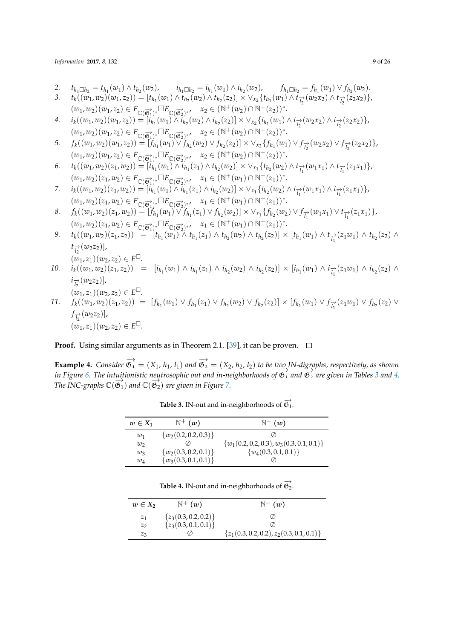*Information* **2017**, *8*, 132 9 of 26

2.  $t_{h_1 \square h_2} = t_{h_1}(w_1) \wedge t_{h_2}(w_2),$   $i_{h_1 \square h_2} = i_{h_1}(w_1) \wedge i_{h_2}(w_2),$   $f_{h_1 \square h_2} = f_{h_1}(w_1) \vee f_{h_2}(w_2).$ 

3. 
$$
t_k((w_1, w_2)(w_1, z_2)) = [t_{h_1}(w_1) \wedge t_{h_2}(w_2) \wedge t_{h_2}(z_2)] \times \vee_{x_2} \{t_{h_1}(w_1) \wedge t_{h_2}(w_2x_2) \wedge t_{h_2}(z_2x_2)\},
$$

$$
(w_1, w_2)(w_1, z_2) \in E_{\mathbb{C}(\overline{\mathfrak{G}}_1^{\lambda})^*} \square E_{\mathbb{C}(\overline{\mathfrak{G}}_2^{\lambda})^*}, \quad x_2 \in (\mathbb{N}^+(w_2) \cap \mathbb{N}^+(z_2))^*.
$$

4. 
$$
i_k((w_1, w_2)(w_1, z_2)) = [i_{h_1}(w_1) \wedge \tilde{i}_{h_2}(w_2) \wedge i_{h_2}(z_2)] \times \vee_{x_2} \{i_{h_1}(w_1) \wedge i_{h_2}(w_2x_2) \wedge i_{h_2}(z_2x_2)\},
$$
  
\n $(w_1, w_2)(w_1, z_2) \in E_{\mathbb{C}(\overrightarrow{\mathfrak{G}}_1)^*} \square E_{\mathbb{C}(\overrightarrow{\mathfrak{G}}_2)^*}, \quad x_2 \in (\mathbb{N}^+(w_2) \cap \mathbb{N}^+(z_2))^*.$ 

5. 
$$
f_k((w_1, w_2)(w_1, z_2)) = [f_{h_1}(w_1) \vee f_{h_2}(w_2) \vee f_{h_2}(z_2)] \times \vee_{x_2} \{f_{h_1}(w_1) \vee f_{h_2}(w_2, z) \vee f_{h_2}(z_2, z_2)\},
$$
  
\n
$$
(w_1, w_2)(w_1, z_2) \in E_{\mathbb{C}(\overrightarrow{\mathfrak{G}_1})^*} \square E_{\mathbb{C}(\overrightarrow{\mathfrak{G}_2})^*}, \quad x_2 \in (\mathbb{N}^+(w_2) \cap \mathbb{N}^+(z_2))^*.
$$

6.  $t_k((w_1,w_2)(z_1,w_2)) = [t_{h_1}(w_1) \wedge t_{h_1}(z_1) \wedge t_{h_2}(w_2)] \times \vee_{x_1} \{t_{h_2}(w_2) \wedge t_{\overrightarrow{l_1}}(w_1x_1) \wedge t_{\overrightarrow{l_1}}(z_1x_1)\},$  $(w_1, w_2)(z_1, w_2) \in E_{\mathbb{C}(\overrightarrow{\mathfrak{G}_1})^*} \square E_{\mathbb{C}(\overrightarrow{\mathfrak{G}_2})^{*'}}$ ,  $x_1 \in (\mathbb{N}^+(w_1) \cap \mathbb{N}^+(z_1))^*$ .

7. 
$$
i_{k}((w_{1}, w_{2})(z_{1}, w_{2})) = [i_{h_{1}}^{'}(w_{1}) \wedge \overline{i}_{h_{1}}(z_{1}) \wedge i_{h_{2}}(w_{2})] \times \vee_{x_{1}} \{i_{h_{2}}(w_{2}) \wedge i_{\overrightarrow{l_{1}}}^{'}(w_{1}x_{1}) \wedge i_{\overrightarrow{l_{1}}}^{'}(z_{1}x_{1})\}, (w_{1}, w_{2})(z_{1}, w_{2}) \in E_{\mathbb{C}(\overrightarrow{\mathfrak{G}_{1}})^{*}} \square E_{\mathbb{C}(\overrightarrow{\mathfrak{G}_{2}})^{*}} , \quad x_{1} \in (\mathbb{N}^{+}(w_{1}) \cap \mathbb{N}^{+}(z_{1}))^{*}.
$$

- 8.  $f_k((w_1, w_2)(z_1, w_2)) = [f_{h_1}(w_1) \vee f_{h_1}(z_1) \vee f_{h_2}(w_2)] \times \vee_{x_1} \{f_{h_2}(w_2) \vee f_{\overline{l_1}}(w_1x_1) \vee f_{\overline{l_1}}(z_1x_1)\},$  $(w_1, w_2)(z_1, w_2) \in E_{\mathbb{C}(\overrightarrow{\mathfrak{G}_1})^*} \Box E_{\mathbb{C}(\overrightarrow{\mathfrak{G}_2})^*}, \quad x_1 \in (\mathbb{N}^+(w_1) \cap \mathbb{N}^+(z_1))^*.$
- *9. t<sup>k</sup>*  $((w_1,w_2)(z_1,z_2)) = [t_{h_1}(w_1) \wedge t_{h_1}(z_1) \wedge t_{h_2}(w_2) \wedge t_{h_2}(z_2)] \times [t_{h_1}(w_1) \wedge t_{\overline{l_1}}(z_1w_1) \wedge t_{h_2}(z_2) \wedge$  $t_{l_2}^{\rightarrow}(w_2z_2)$ ],

$$
(w_1, z_1)(w_2, z_2) \in E^{\Box}.
$$

- *10. i<sup>k</sup>*  $((w_1, w_2)(z_1, z_2)) = [i_{h_1}(w_1) \wedge i_{h_1}(z_1) \wedge i_{h_2}(w_2) \wedge i_{h_2}(z_2)] \times [i_{h_1}(w_1) \wedge i_{\overline{l_1}}(z_1w_1) \wedge i_{h_2}(z_2) \wedge$  $i_{\overrightarrow{l_2}}(w_2z_2)$ ],  $(w_1, z_1)(w_2, z_2) \in E^{\square}$ .
- 11.  $f_k((w_1, w_2)(z_1, z_2)) = [f_{h_1}(w_1) \vee f_{h_1}(z_1) \vee f_{h_2}(w_2) \vee f_{h_2}(z_2)] \times [f_{h_1}(w_1) \vee f_{\overline{l_1}}(z_1w_1) \vee f_{h_2}(z_2) \vee f_{h_2}(w_2)]$  $f_{\frac{1}{2}}(w_2 z_2)$ ],  $(w_1, z_1)(w_2, z_2) \in E^{\square}$ .

# **Proof.** Using similar arguments as in Theorem 2.1. [\[39\]](#page-25-4), it can be proven.  $\Box$

<span id="page-8-0"></span>**Example 4.** *Consider*  $\overrightarrow{\mathfrak{G}}_1 = (X_1, h_1, l_1)$  *and*  $\overrightarrow{\mathfrak{G}}_2 = (X_2, h_2, l_2)$  *to be two IN-digraphs, respectively, as shown*  $\frac{1}{2}$  *in Figure* [6.](#page-9-0) The intuitionistic neutrosophic out and in-neighborhoods of  $\overrightarrow{\mathfrak{G}}_1$  and  $\overrightarrow{\mathfrak{G}}_2$  are given in Tables [3](#page-8-0) and [4.](#page-8-1) The INC-graphs  $\mathbb{C}(\overrightarrow{\mathfrak{G}_{1}})$  and  $\mathbb{C}(\overrightarrow{\mathfrak{G}_{2}})$  are given in Figure [7.](#page-9-1)

| $w \in X_1$ | $\mathbb{N}^+$ $(w)$      | $\mathbb{N}^ (w)$                             |
|-------------|---------------------------|-----------------------------------------------|
| $w_1$       | $\{w_2(0.2, 0.2, 0.3)\}\$ |                                               |
| $w_2$       |                           | $\{w_1(0.2, 0.2, 0.3), w_3(0.3, 0.1, 0.1)\}\$ |
| $w_3$       | $\{w_2(0.3, 0.2, 0.1)\}\$ | $\{w_4(0.3, 0.1, 0.1)\}\$                     |
| $w_4$       | $\{w_3(0.3, 0.1, 0.1)\}\$ |                                               |

**Table 3.** IN-out and in-neighborhoods of  $\overrightarrow{\mathfrak{G}}_1$ .

**Table 4.** IN-out and in-neighborhoods of  $\overrightarrow{\mathfrak{G}}_2$ .

<span id="page-8-1"></span>

| $w \in X_2$    | $\mathbb{N}^+$ $(w)$      | $\mathbb{N}^ (w)$                             |
|----------------|---------------------------|-----------------------------------------------|
| z <sub>1</sub> | $\{z_3(0.3, 0.2, 0.2)\}\$ |                                               |
| $z_2$          | ${z_3(0.3, 0.1, 0.1)}$    | $\bigcirc$                                    |
| $z_3$          |                           | $\{z_1(0.3, 0.2, 0.2), z_2(0.3, 0.1, 0.1)\}\$ |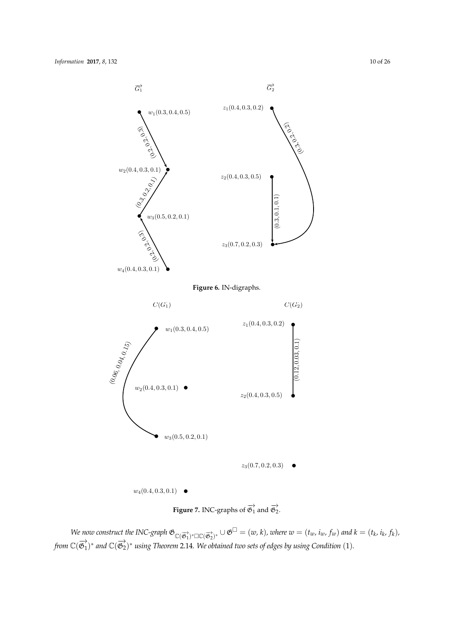<span id="page-9-0"></span>



<span id="page-9-1"></span>We now construct the INC-graph  $\mathfrak{G}_{\mathbb{C}(\overrightarrow{\mathfrak{G}_1})^*\square\mathbb{C}(\overrightarrow{\mathfrak{G}_2})^*}\cup \mathfrak{G}^\square=(w,k)$ , where  $w=(t_w,i_w,f_w)$  and  $k=(t_k,i_k,f_k)$ , from  $\mathbb{C}(\overrightarrow{\mathfrak{G}_{1}})^{*}$  and  $\mathbb{C}(\overrightarrow{\mathfrak{G}_{2}})^{*}$  using Theorem 2.14. We obtained two sets of edges by using Condition  $(1)$ .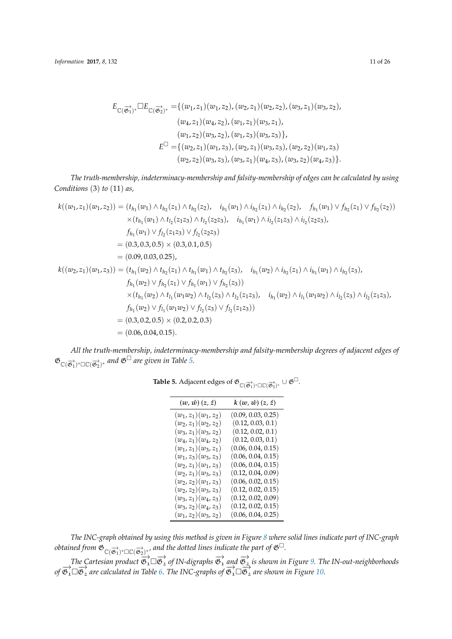$$
E_{\mathbb{C}(\overrightarrow{\mathfrak{G}_{1}})^*} \Box E_{\mathbb{C}(\overrightarrow{\mathfrak{G}_{2}})^*} = \{ (w_1, z_1)(w_1, z_2), (w_2, z_1)(w_2, z_2), (w_3, z_1)(w_3, z_2),(w_4, z_1)(w_4, z_2), (w_1, z_1)(w_3, z_1),(w_1, z_2)(w_3, z_2), (w_1, z_3)(w_3, z_3) \},
$$
E^{\Box} = \{ (w_2, z_1)(w_1, z_3), (w_2, z_1)(w_3, z_3), (w_2, z_2)(w_1, z_3) \newline (w_2, z_2)(w_3, z_3), (w_3, z_1)(w_4, z_3), (w_3, z_2)(w_4, z_3) \}.
$$
$$

*The truth-membership, indeterminacy-membership and falsity-membership of edges can be calculated by using Conditions* (3) *to* (11) *as,*

$$
k((w_1, z_1)(w_1, z_2)) = (t_{h_1}(w_1) \wedge t_{h_2}(z_1) \wedge t_{h_2}(z_2), \quad i_{h_1}(w_1) \wedge i_{h_2}(z_1) \wedge i_{h_2}(z_2), \quad f_{h_1}(w_1) \vee f_{h_2}(z_1) \vee f_{h_2}(z_2))
$$
  
\n
$$
\times (t_{h_1}(w_1) \wedge t_{l_2}(z_1z_3) \wedge t_{l_2}(z_2z_3), \quad i_{h_1}(w_1) \wedge i_{l_2}(z_1z_3) \wedge i_{l_2}(z_2z_3),
$$
  
\n
$$
f_{h_1}(w_1) \vee f_{h_2}(z_1z_3) \vee f_{h_2}(z_2z_3)
$$
  
\n
$$
= (0.3, 0.3, 0.5) \times (0.3, 0.1, 0.5)
$$
  
\n
$$
= (0.09, 0.03, 0.25),
$$
  
\n
$$
k((w_2, z_1)(w_1, z_3)) = (t_{h_1}(w_2) \wedge t_{h_2}(z_1) \wedge t_{h_1}(w_1) \wedge t_{h_2}(z_3), \quad i_{h_1}(w_2) \wedge i_{h_2}(z_1) \wedge i_{h_1}(w_1) \wedge i_{h_2}(z_3),
$$
  
\n
$$
f_{h_1}(w_2) \vee f_{h_2}(z_1) \vee f_{h_1}(w_1) \vee f_{h_2}(z_3) \wedge t_{l_2}(z_1z_3), \quad i_{h_1}(w_2) \wedge i_{l_1}(w_1w_2) \wedge i_{l_2}(z_1z_3),
$$
  
\n
$$
f_{h_1}(w_2) \vee f_{l_1}(w_1w_2) \vee f_{l_2}(z_3) \vee f_{l_2}(z_1z_3)
$$
  
\n
$$
= (0.3, 0.2, 0.5) \times (0.2, 0.2, 0.3)
$$
  
\n
$$
= (0.06, 0.04, 0.15).
$$

<span id="page-10-0"></span>*All the truth-membership, indeterminacy-membership and falsity-membership degrees of adjacent edges of*  $\mathfrak{G}_{\mathbb{C}(\overrightarrow{\mathfrak{G}_1})^*\square\mathbb{C}(\overrightarrow{\mathfrak{G}_2})^*}$  and  $\mathfrak{G}^{\square}$  are given in Table [5.](#page-10-0)

| $(w, \hat{w}) (z, \hat{z})$ | $k(w, \hat{w}) (z, \hat{z})$ |
|-----------------------------|------------------------------|
| $(w_1, z_1)(w_1, z_2)$      | (0.09, 0.03, 0.25)           |
| $(w_2, z_1)(w_2, z_2)$      | (0.12, 0.03, 0.1)            |
| $(w_3, z_1)(w_3, z_2)$      | (0.12, 0.02, 0.1)            |
| $(w_4, z_1)(w_4, z_2)$      | (0.12, 0.03, 0.1)            |
| $(w_1, z_1)(w_3, z_1)$      | (0.06, 0.04, 0.15)           |
| $(w_1, z_3)(w_3, z_3)$      | (0.06, 0.04, 0.15)           |
| $(w_2, z_1)(w_1, z_3)$      | (0.06, 0.04, 0.15)           |
| $(w_2, z_1)(w_3, z_3)$      | (0.12, 0.04, 0.09)           |
| $(w_2, z_2)(w_1, z_3)$      | (0.06, 0.02, 0.15)           |
| $(w_2, z_2)(w_3, z_3)$      | (0.12, 0.02, 0.15)           |
| $(w_3, z_1)(w_4, z_3)$      | (0.12, 0.02, 0.09)           |
| $(w_3, z_2)(w_4, z_3)$      | (0.12, 0.02, 0.15)           |
| $(w_1, z_2)(w_3, z_2)$      | (0.06, 0.04, 0.25)           |

**Table 5.** Adjacent edges of  $\mathfrak{G}_{\mathbb{C}(\overrightarrow{\mathfrak{G}_1})^*\Box\mathbb{C}(\overrightarrow{\mathfrak{G}_2})^*}\cup \mathfrak{G}^{\Box}$ .

*The INC-graph obtained by using this method is given in Figure [8](#page-11-0) where solid lines indicate part of INC-graph*  $\phi$  *obtained from*  $\mathfrak{G}_{\mathbb{C}(\overrightarrow{\mathfrak{G}_1})^*\square\mathbb{C}(\overrightarrow{\mathfrak{G}_2})^*}$  *and the dotted lines indicate the part of*  $\mathfrak{G}^\square$ *.* 

 $\overrightarrow{The}$  Cartesian product  $\overrightarrow{\mathfrak{G}}_1^\rightarrow\Box\overrightarrow{\mathfrak{G}}_2^\rightarrow$  of IN-digraphs  $\overrightarrow{\mathfrak{G}}_1^\rightarrow$  and  $\overrightarrow{\mathfrak{G}}_2^\rightarrow$  is shown in Figure [9.](#page-11-1) The IN-out-neighborhoods  $\phi$   $\overrightarrow{\mathfrak{G}_{1}}\Box\overrightarrow{\mathfrak{G}_{2}}$  are calculated in Table [6.](#page-12-0) The INC-graphs of  $\overrightarrow{\mathfrak{G}_{1}}\Box\overrightarrow{\mathfrak{G}_{2}}$  are shown in Figure [10.](#page-12-1)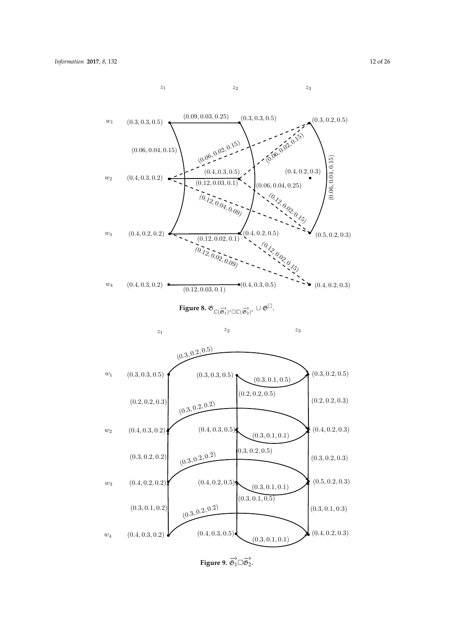$z_1$   $z_2$   $z_3$ 

 $(0.09, 0.03, 0.25)$ 

<span id="page-11-1"></span><span id="page-11-0"></span> $(0.3, 0.3, 0.5)$  $(0.3, 0.2, 0.5)$  $w_1$  $(0.3, 0.3, 0.5)$ ı (0.06, 0.02, 0.15)  $(0.06, 0.02, 0.15)$  $(0.06, 0.04, 0.15)$  $(0.06, 0.04, 0.15)$  $(0.06, 0.04, 0.15)$  $(0.4, 0.2, 0.3)$  $(0.4, 0.3, 0.5)$  $w_2$  $(0.4, 0.3, 0.2)$ ı  $(0.12, 0.03, 0.1)$ ĩ ı  $(0.06, 0.04, 0.25)$  $(0,12,0.04,0.09)$  $\overset{(o.2)}{\ddots}$  $\zeta^o_{Q_2}$  $\cdot \frac{O_{\lambda_{\mathcal{O}}}}{O_{\lambda_{\mathcal{O}}}}$  $(0.4, 0.2, 0.2)$  $w_3$  $(0.5, 0.2, 0.3)$  $(0.4, 0.2, 0.5)$ ı  $(0.12, 0.02, 0.1)$ ٦  $(0.12, 0.02, 0.09)$  $\mathcal{L}^{\rho}$  $\zeta^0_Q$  $\stackrel{c}{\sim} \stackrel{O}{\sim}$  $w_4$  $(0.4, 0.3, 0.5)$  $(0.4, 0.3, 0.2)$   $\bullet$  $\bullet$   $(0.4, 0.2, 0.3)$  $(0.12, 0.03, 0.1)$ **Figure 8.**  $\mathfrak{G}_{\mathbb{C}(\overrightarrow{\mathfrak{G}_{1}})^*\Box\mathbb{C}(\overrightarrow{\mathfrak{G}_{2}})^*}\cup \mathfrak{G}^{\Box}.$  $z_1$   $z_2$   $z_3$  $(0.3, 0.2, 0.5)$  $(0.3, 0.2, 0.5)$  $\boldsymbol{w}_1$  $(0.3, 0.3, 0.5)$  $(0.3, 0.3, 0.5)$  $(0.3, 0.1, 0.5)$  $(0.2, 0.2, 0.5)$  $(0.2, 0.2, 0.3)$  $(0.2, 0.2, 0.3)$  $(0.3, 0.2, 0.2)$  $(0.4, 0.2, 0.3)$  $w_2$  $(0.4, 0.3, 0.2)$  $(0.4, 0.3, 0.5)$   $\uparrow$  $(0.3, 0.1, 0.1)$  $(0.3, 0.2, 0.5)$  $(0.3, 0.2, 0.2)$  $(0.3, 0.2, 0.2)$  $(0.3, 0.2, 0.3)$  $(0.4, 0.2, 0.5)$  $(0.5, 0.2, 0.3)$  $(0.4, 0.2, 0.2)$  $w_3$ ı ť  $(0.3, 0.1, 0.1)$  $(0.3, 0.1, 0.5)$  $(0.3, 0.2, 0.2)$  $(0.3, 0.1, 0.2)$  $(0.3, 0.1, 0.3)$  $(0.4, 0.3, 0.5)$  $(0.4, 0.2, 0.3)$  $(0.4, 0.3, 0.2)$  $w_4$ D  $(0.3, 0.1, 0.1)$ 

**Figure 9.**  $\overrightarrow{\mathfrak{G}_1} \square \overrightarrow{\mathfrak{G}_2}$ .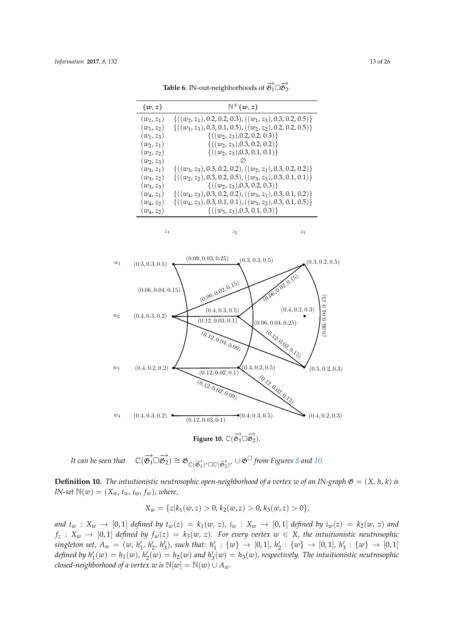<span id="page-12-0"></span>

| (w, z)       | $\mathbb{N}^+(w,z)$                                             |
|--------------|-----------------------------------------------------------------|
| $(w_1, z_1)$ | $\{((w_2, z_1), 0.2, 0.2, 0.3), ((w_1, z_3), 0.3, 0.2, 0.5)\}\$ |
| $(w_1, z_2)$ | $\{((w_1, z_3), 0.3, 0.1, 0.5), ((w_2, z_2), 0.2, 0.2, 0.5)\}\$ |
| $(w_1, z_3)$ | $\{((w_2, z_3), 0.2, 0.2, 0.3)\}\$                              |
| $(w_2, z_1)$ | $\{((w_2, z_3), 0.3, 0.2, 0.2)\}\$                              |
| $(w_2, z_2)$ | $\{((w_2, z_3), 0.3, 0.1, 0.1)\}\$                              |
| $(w_2, z_3)$ |                                                                 |
| $(w_3, z_1)$ | $\{((w_3, z_3), 0.3, 0.2, 0.2), ((w_2, z_1), 0.3, 0.2, 0.2)\}\$ |
| $(w_3, z_2)$ | $\{((w_2, z_2), 0.3, 0.2, 0.5), ((w_3, z_3), 0.3, 0.1, 0.1)\}\$ |
| $(w_3, z_3)$ | $\{((w_2, z_3), 0.3, 0.2, 0.3)\}\$                              |
| $(w_4, z_1)$ | $\{((w_4, z_3), 0.3, 0.2, 0.2), ((w_3, z_1), 0.3, 0.1, 0.2)\}\$ |
| $(w_4, z_2)$ | $\{((w_4, z_3), 0.3, 0.1, 0.1), ((w_3, z_2), 0.3, 0.1, 0.5)\}\$ |
| $(w_4, z_2)$ | $\{((w_3, z_3), 0.3, 0.1, 0.3)\}\$                              |

 $z_1$   $z_2$   $z_3$ 

**Table 6.** IN-out-neighborhoods of  $\overrightarrow{\mathfrak{G}}_1 \square \overrightarrow{\mathfrak{G}}_2$ .

<span id="page-12-1"></span>

**Figure 10.**  $\mathbb{C}(\overrightarrow{\mathfrak{G}_1} \square \overrightarrow{\mathfrak{G}_2})$ .

It can be seen that  $\overrightarrow{\mathfrak{G}_1} \square \overrightarrow{\mathfrak{G}_2}$   $\cong \mathfrak{G}_{\mathbb{C}(\overrightarrow{\mathfrak{G}_1})^* \square \mathbb{C}(\overrightarrow{\mathfrak{G}_2})^*} \cup \mathfrak{G}^{\square}$  *from Figures [8](#page-11-0) and [10.](#page-12-1)* 

**Definition 10.** *The intuitionistic neutrosophic open-neighborhood of a vertex w of an IN-graph*  $\mathfrak{G} = (X, h, k)$  *is IN-set*  $\mathbb{N}(w) = (X_w, t_w, i_w, f_w)$ *, where,* 

$$
X_w = \{z | k_1(w, z) > 0, k_2(w, z) > 0, k_3(w, z) > 0\},\
$$

and  $t_w$  :  $X_w \rightarrow [0,1]$  defined by  $t_w(z) = k_1(w, z)$ ,  $i_w$  :  $X_w \rightarrow [0,1]$  defined by  $i_w(z) = k_2(w, z)$  and  $f_z$  :  $X_w$   $\rightarrow$  [0,1] *defined by*  $f_w(z) = k_3(w, z)$ *. For every vertex*  $w \in X$ *, the intuitionistic neutrosophic* singleton set,  $A_w = (w, h'_1, h'_2, h'_3)$ , such that:  $h'_1 : \{w\} \to [0,1], h'_2 : \{w\} \to [0,1], h'_3 : \{w\} \to [0,1]$ defined by  $h'_1(w) = h_1(w)$ ,  $h'_2(w) = h_2(w)$  and  $h'_3(w) = h_3(w)$ , respectively. The intuitionistic neutrosophic *closed-neighborhood of a vertex w is*  $\mathbb{N}[w] = \mathbb{N}(w) \cup A_w$ *.*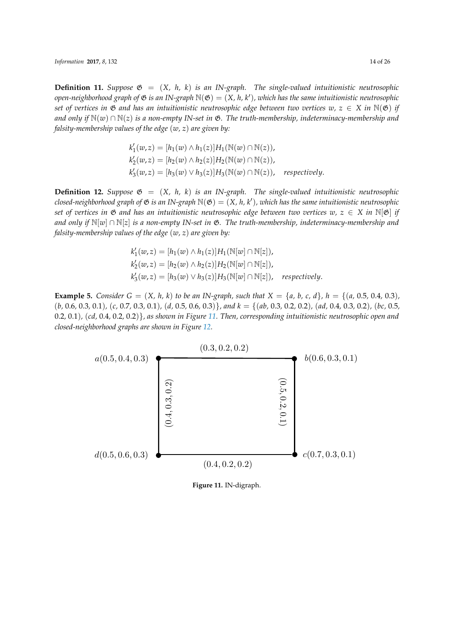*Information* **2017**, *8*, 132 14 of 26

**Definition 11.** *Suppose*  $\mathfrak{G} = (X, h, k)$  *is an IN-graph. The single-valued intuitionistic neutrosophic open-neighborhood graph of* G *is an IN-graph* N(G) = (*X, h, k*<sup>0</sup> )*, which has the same intuitionistic neutrosophic set of vertices in*  $\mathfrak{G}$  *and has an intuitionistic neutrosophic edge between two vertices*  $w, z \in X$  *in*  $\mathbb{N}(\mathfrak{G})$  *if and only if*  $\mathbb{N}(w) \cap \mathbb{N}(z)$  *is a non-empty IN-set in*  $\mathfrak{G}$ *. The truth-membership, indeterminacy-membership and falsity-membership values of the edge* (*w, z*) *are given by:*

$$
k'_1(w, z) = [h_1(w) \wedge h_1(z)]H_1(\mathbb{N}(w) \cap \mathbb{N}(z)),
$$
  
\n
$$
k'_2(w, z) = [h_2(w) \wedge h_2(z)]H_2(\mathbb{N}(w) \cap \mathbb{N}(z)),
$$
  
\n
$$
k'_3(w, z) = [h_3(w) \vee h_3(z)]H_3(\mathbb{N}(w) \cap \mathbb{N}(z)), respectively.
$$

**Definition 12.** *Suppose*  $\mathfrak{G} = (X, h, k)$  *is an IN-graph. The single-valued intuitionistic neutrosophic*  $\mathsf{closed\text{-}neighborhood}$  graph of  $\mathfrak G$  is an IN-graph  $\mathbb N(\mathfrak G)=(X,h,k')$ , which has the same intuitionistic neutrosophic *set of vertices in*  $\mathfrak{G}$  *and has an intuitionistic neutrosophic edge between two vertices*  $w, z \in X$  *in*  $\mathbb{N}[\mathfrak{G}]$  *if and only if* <sup>N</sup>[*w*] <sup>∩</sup> <sup>N</sup>[*z*] *is a non-empty IN-set in* <sup>G</sup>*. The truth-membership, indeterminacy-membership and falsity-membership values of the edge* (*w, z*) *are given by:*

$$
k'_1(w, z) = [h_1(w) \wedge h_1(z)]H_1(\mathbb{N}[w] \cap \mathbb{N}[z]),
$$
  
\n
$$
k'_2(w, z) = [h_2(w) \wedge h_2(z)]H_2(\mathbb{N}[w] \cap \mathbb{N}[z]),
$$
  
\n
$$
k'_3(w, z) = [h_3(w) \vee h_3(z)]H_3(\mathbb{N}[w] \cap \mathbb{N}[z]), respectively.
$$

**Example 5.** Consider  $G = (X, h, k)$  to be an IN-graph, such that  $X = \{a, b, c, d\}$ ,  $h = \{(a, 0.5, 0.4, 0.3),$ (*b,* 0.6*,* 0.3*,* 0.1)*,* (*c,* 0.7*,* 0.3*,* 0.1)*,* (*d,* 0.5*,* 0.6*,* 0.3)}*, and k* = {(*ab,* 0.3*,* 0.2*,* 0.2)*,* (*ad,* 0.4*,* 0.3*,* 0.2)*,* (*bc,* 0.5*,* 0.2*,* 0.1)*,* (*cd,* 0.4*,* 0.2*,* 0.2)}*, as shown in Figure [11.](#page-13-0) Then, corresponding intuitionistic neutrosophic open and closed-neighborhood graphs are shown in Figure [12.](#page-14-0)*

<span id="page-13-0"></span>

**Figure 11.** IN-digraph.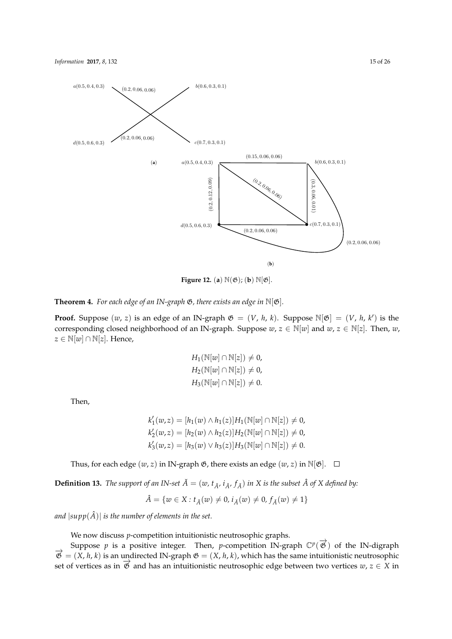

<span id="page-14-0"></span>

**Figure 12.** (**a**)  $\mathbb{N}(\mathfrak{G})$ ; (**b**)  $\mathbb{N}[\mathfrak{G}]$ .

**Theorem 4.** For each edge of an IN-graph  $\mathfrak{G}$ , there exists an edge in  $\mathbb{N}[\mathfrak{G}]$ .

**Proof.** Suppose  $(w, z)$  is an edge of an IN-graph  $\mathfrak{G} = (V, h, k)$ . Suppose  $\mathbb{N}[\mathfrak{G}] = (V, h, k')$  is the corresponding closed neighborhood of an IN-graph. Suppose  $w, z \in \mathbb{N}[w]$  and  $w, z \in \mathbb{N}[z]$ . Then,  $w$ , *z* ∈  $\mathbb{N}[w]$  ∩  $\mathbb{N}[z]$ . Hence,

$$
H_1(\mathbb{N}[w] \cap \mathbb{N}[z]) \neq 0,
$$
  
\n
$$
H_2(\mathbb{N}[w] \cap \mathbb{N}[z]) \neq 0,
$$
  
\n
$$
H_3(\mathbb{N}[w] \cap \mathbb{N}[z]) \neq 0.
$$

Then,

$$
k'_1(w, z) = [h_1(w) \wedge h_1(z)]H_1(\mathbb{N}[w] \cap \mathbb{N}[z]) \neq 0,k'_2(w, z) = [h_2(w) \wedge h_2(z)]H_2(\mathbb{N}[w] \cap \mathbb{N}[z]) \neq 0,k'_3(w, z) = [h_3(w) \vee h_3(z)]H_3(\mathbb{N}[w] \cap \mathbb{N}[z]) \neq 0.
$$

Thus, for each edge  $(w, z)$  in IN-graph  $\mathfrak{G}$ , there exists an edge  $(w, z)$  in  $\mathbb{N}[\mathfrak{G}]$ .  $\Box$ 

**Definition 13.** *The support of an IN-set*  $\check{A} = (w, t_{\check{A}}, i_{\check{A}}, f_{\check{A}})$  *in X is the subset*  $\hat{A}$  *of X defined by:* 

$$
\hat{A} = \{w \in X : t_{\check{A}}(w) \neq 0, i_{\check{A}}(w) \neq 0, f_{\check{A}}(w) \neq 1\}
$$

*and*  $|\text{supp}(\hat{A})|$  *is the number of elements in the set.* 

We now discuss *p*-competition intuitionistic neutrosophic graphs.

Suppose *p* is a positive integer. Then, *p*-competition IN-graph  $\mathbb{C}^p(\overrightarrow{\mathfrak{G}})$  of the IN-digraph  $\vec{\mathcal{B}} = (X, h, k)$  is an undirected IN-graph  $\mathfrak{G} = (X, h, k)$ , which has the same intuitionistic neutrosophic set of vertices as in  $\vec{\mathcal{B}}$  and has an intuitionistic neutrosophic edge between two vertices  $w, z \in X$  in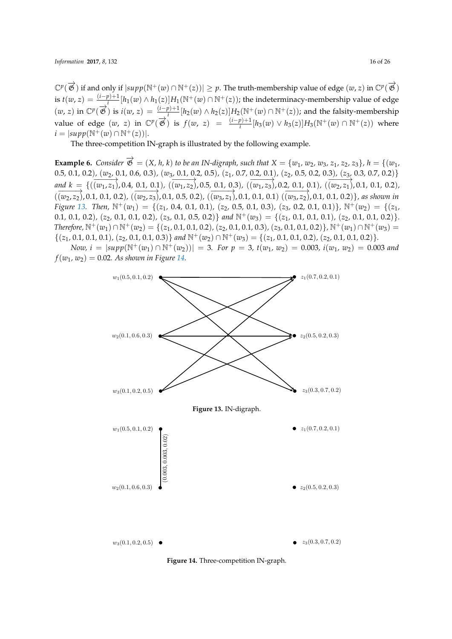$\mathbb{C}^p(\overrightarrow{\mathfrak{G}})$  if and only if  $|supp(\mathbb{N}^+(w) \cap \mathbb{N}^+(z))| \geq p$ . The truth-membership value of edge  $(w, z)$  in  $\mathbb{C}^p(\overrightarrow{\mathfrak{G}})$ is  $t(w, z) = \frac{(i-p)+1}{i} [h_1(w) \wedge h_1(z)] H_1(\mathbb{N}^+(w) \cap \mathbb{N}^+(z))$ ; the indeterminacy-membership value of edge  $(w, z)$  in  $\mathbb{C}^p(\overrightarrow{\mathfrak{G}})$  is  $i(w, z) = \frac{(i-p)+1}{i} [h_2(w) \wedge h_2(z)] H_2(\mathbb{N}^+(w) \cap \mathbb{N}^+(z))$ ; and the falsity-membership value of edge  $(w, z)$  in  $\mathbb{C}^p(\overrightarrow{\mathfrak{G}})$  is  $f(w, z) = \frac{(i-p)+1}{i} [h_3(w) \vee h_3(z)] H_3(\mathbb{N}^+(w) \cap \mathbb{N}^+(z))$  where  $i = |supp(N^{+}(w) ∩ N^{+}(z))|$ .

The three-competition IN-graph is illustrated by the following example.

**Example 6.** Consider  $\overrightarrow{\mathfrak{G}} = (X, h, k)$  to be an IN-digraph, such that  $X = \{w_1, w_2, w_3, z_1, z_2, z_3\}$ ,  $h = \{(w_1, w_2, w_3, z_1, z_2, z_3)\}$ 0.5, 0.1, 0.2),  $(w_2, 0.1, 0.6, 0.3)$ ,  $(w_3, 0.1, 0.2, 0.5)$ ,  $(z_1, 0.7, 0.2, 0.1)$ ,  $(z_2, 0.5, 0.2, 0.3)$ ,  $(z_3, 0.3, 0.7, 0.2)$ and  $k = \{((\overrightarrow{w_1}, \overrightarrow{z_1}), 0.4, \overrightarrow{0.1}, 0.1), ((\overrightarrow{w_1}, \overrightarrow{z_2}), 0.5, \overrightarrow{0.1}, 0.3), ((\overrightarrow{w_1}, \overrightarrow{z_3}), 0.2, \overrightarrow{0.1}, 0.1), ((\overrightarrow{w_2}, \overrightarrow{z_1}), 0.1, 0.1, 0.2),$  $(\overrightarrow{(w_2,z_2)}$ , 0.1, 0.1, 0.2),  $(\overrightarrow{(w_2,z_3)}$ , 0.1, 0.5, 0.2),  $(\overrightarrow{(w_3,z_1)}$ , 0.1, 0.1, 0.1)  $(\overrightarrow{(w_3,z_2)}$ , 0.1, 0.1, 0.2) }, as shown in Figure [13.](#page-15-0) Then,  $\mathbb{N}^+(w_1) = \{(z_1, 0.4, 0.1, 0.1), (z_2, 0.5, 0.1, 0.3), (z_3, 0.2, 0.1, 0.1)\}\$ ,  $\mathbb{N}^+(w_2) = \{(z_1, 0.4, 0.1), (z_2, 0.5, 0.1, 0.3), (z_3, 0.2, 0.1, 0.1)\}\$ 0.1, 0.1, 0.2), (z<sub>2</sub>, 0.1, 0.1, 0.2), (z<sub>3</sub>, 0.1, 0.5, 0.2) and  $\mathbb{N}^+(w_3) = \{(z_1, 0.1, 0.1, 0.1), (z_2, 0.1, 0.1, 0.2)\}.$ Therefore,  $\mathbb{N}^+(w_1) \cap \mathbb{N}^+(w_2) = \{(z_1, 0.1, 0.1, 0.2), (z_2, 0.1, 0.1, 0.3), (z_3, 0.1, 0.1, 0.2)\}\$ ,  $\mathbb{N}^+(w_1) \cap \mathbb{N}^+(w_3) =$  $\{(z_1, 0.1, 0.1, 0.1), (z_2, 0.1, 0.1, 0.3)\}\$ and  $\mathbb{N}^+(w_2) \cap \mathbb{N}^+(w_3) = \{(z_1, 0.1, 0.1, 0.2), (z_2, 0.1, 0.1, 0.2)\}.$ 

<span id="page-15-0"></span>*Now,*  $i = |supp(\mathbb{N}^+(w_1) \cap \mathbb{N}^+(w_2))| = 3$ . For  $p = 3$ ,  $t(w_1, w_2) = 0.003$ ,  $i(w_1, w_2) = 0.003$  and  $f(w_1, w_2) = 0.02$ . As shown in Figure [14.](#page-15-1)

<span id="page-15-1"></span>

**Figure 14.** Three-competition IN-graph.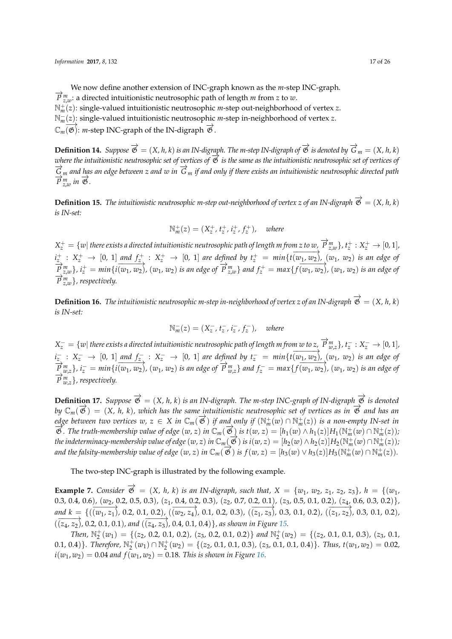We now define another extension of INC-graph known as the *m*-step INC-graph.  $\overrightarrow{P}_{z,w}^m$ : a directed intuitionistic neutrosophic path of length *m* from *z* to *w*. N+ *<sup>m</sup>*(*z*): single-valued intuitionistic neutrosophic *m*-step out-neighborhood of vertex *z*. N− *<sup>m</sup>*(*z*): single-valued intuitionistic neutrosophic *m*-step in-neighborhood of vertex *z*.  $\mathbb{C}_m$   $\overrightarrow{\mathfrak{G}}$ : *m*-step INC-graph of the IN-digraph  $\overrightarrow{\mathfrak{G}}$ .

**Definition 14.** *Suppose*  $\overrightarrow{\mathfrak{G}} = (X, h, k)$  *is an IN-digraph. The m-step IN-digraph of*  $\overrightarrow{\mathfrak{G}}$  *is denoted by*  $\overrightarrow{G}_m = (X, h, k)$ *where the intuitionistic neutrosophic set of vertices of*  $\overline{B}$  *is the same as the intuitionistic neutrosophic set of vertices of* −→*<sup>G</sup> <sup>m</sup> and has an edge between <sup>z</sup> and <sup>w</sup> in* −→*<sup>G</sup> <sup>m</sup> if and only if there exists an intuitionistic neutrosophic directed path*  $\overrightarrow{P}_{z,w}^m$  *in*  $\overrightarrow{\mathfrak{G}}$ .

**Definition 15.** *The intuitionistic neutrosophic m-step out-neighborhood of vertex z of an IN-digraph*  $\overrightarrow{\mathfrak{G}} = (X, h, k)$ *is IN-set:*

$$
\mathbb{N}_m^+(z) = (X_z^+, t_z^+, i_z^+, f_z^+), \quad \text{where}
$$

 $X_z^+=\{w|$  there exists a directed intuitionistic neutrosophic path of length m from z to  $w$ ,  $\overrightarrow{P}_{z,w}^m\}$  ,  $t_z^+:X_z^+\to[0,1]$  ,  $i_{z_1}^+$  :  $X_z^+$   $\rightarrow$  [0, 1] and  $f_{z_2}^+$  :  $X_z^+$   $\rightarrow$  [0, 1] are defined by  $t_z^+$  = min{ $t(\overline{w_1,w_2})$ ,  $(w_1, w_2)$  is an edge of  $\overrightarrow{P}_{z,w}^m$ ,  $i_z^+ = min\{i(\overrightarrow{w_1}, \overrightarrow{w_2})$ ,  $(w_1, w_2)$  is an edge of  $\overrightarrow{P}_{z,w}^m\}$  and  $f_z^+ = max\{f(\overrightarrow{w_1}, \overrightarrow{w_2})$ ,  $(w_1, w_2)$  is an edge of  $\overrightarrow{P}_{z,w}^m$ *}*, respectively.

**Definition 16.** *The intuitionistic neutrosophic m-step in-neighborhood of vertex z* of an IN-digraph  $\vec{\mathfrak{G}} = (X, h, k)$ *is IN-set:*

$$
\mathbb{N}_m^-(z) = (X_z^-, t_z^-, t_z^-, f_z^-), \text{ where}
$$

 $X_z^-=\{w|$  there exists a directed intuitionistic neutrosophic path of length m from  $w$  to  $z,$   $\overrightarrow{P}_{w,z}^m\}$  ,  $t_z^-:X_z^-\to[0,1]$  ,  $i_{z_1}^-$  :  $X_z^ \rightarrow$  [0, 1] and  $f_{z_2}^-$  :  $X_z^ \rightarrow$  [0, 1] are defined by  $t_z^-$  =  $min\{t(\overline{w_1,w_2})$ ,  $(w_1, w_2)$  is an edge of  $\overrightarrow{P}_{w,z}^m$ ,  $i_z^-$  =  $min\{i(\overrightarrow{w_1}, \overrightarrow{w_2})$ ,  $(w_1, w_2)$  is an edge of  $\overrightarrow{P}_{w,z}^m\}$  and  $f_z^-$  =  $max\{f(\overrightarrow{w_1}, \overrightarrow{w_2})$ ,  $(w_1, w_2)$  is an edge of  $\overrightarrow{P}_{w,z}^m$ , respectively.

**Definition 17.** *Suppose*  $\overrightarrow{\mathfrak{G}} = (X, h, k)$  *is an IN-digraph. The m-step INC-graph of IN-digraph*  $\overrightarrow{\mathfrak{G}}$  *is denoted*  $by\ \mathbb{C}_m(\overrightarrow{\mathfrak{G}})=(X,h,k)$ , which has the same intuitionistic neutrosophic set of vertices as in  $\overrightarrow{\mathfrak{G}}$  and has an  $\vec{e}$  edge between two vertices  $w, z \in X$  in  $\mathbb{C}_m(\overrightarrow{\mathfrak{G}})$  if an<u>d</u> only if  $(\mathbb{N}_m^+(w) \cap \mathbb{N}_m^+(z))$  is a non-empty IN-set in  $\overrightarrow{\mathfrak{G}}$ . The truth-membership value of edge  $(w, z)$  in  $\mathbb{C}_m(\overrightarrow{\mathfrak{G}})$  is  $t(w, z) = [h_1(w) \wedge h_1(z)]H_1(\mathbb{N}_m^+(w) \cap \mathbb{N}_m^+(z));$ the indeterminacy-membership value of edge  $(w,z)$  in  $\mathbb{C}_m(\overrightarrow{\mathfrak{G}})$  is  $i(w,z)=[h_2(w)\wedge h_2(z)]H_2(\mathbb{N}_m^+(w)\cap\mathbb{N}_m^+(z)),$ *and the falsity-membership value of edge*  $(w, z)$  *in*  $\mathbb{C}_m(\overrightarrow{\mathfrak{G}})$  *is*  $f(w, z) = [h_3(w) \vee h_3(z)]H_3(\mathbb{N}_m^+(w) \cap \mathbb{N}_m^+(z)).$ 

The two-step INC-graph is illustrated by the following example.

**Example 7.** Consider  $\vec{\mathfrak{G}} = (X, h, k)$  is an IN-digraph, such that,  $X = \{w_1, w_2, z_1, z_2, z_3\}, h = \{(w_1, w_2, z_1, z_2, z_3\}, h)$ 0.3, 0.4, 0.6),  $(w_2, 0.2, 0.5, 0.3)$ ,  $(z_1, 0.4, 0.2, 0.3)$ ,  $(z_2, 0.7, 0.2, 0.1)$ ,  $(z_3, 0.5, 0.1, 0.2)$ ,  $(z_4, 0.6, 0.3, 0.2)$ , and  $k = \{((\overrightarrow{w_1}, \overrightarrow{z_1})$ , 0.2, 0.1, 0.2),  $(\overrightarrow{w_2}, \overrightarrow{z_4})$ , 0.1, 0.2, 0.3),  $(\overrightarrow{z_1}, \overrightarrow{z_3})$ , 0.3, 0.1, 0.2),  $(\overrightarrow{z_1}, \overrightarrow{z_2})$ , 0.3, 0.1, 0.2),  $(\overrightarrow{(z_4, z_2)}, 0.2, 0.1, 0.1),$  and  $(\overrightarrow{(z_4, z_3)}, 0.4, 0.1, 0.4)\}$ , as shown in Figure [15.](#page-17-0)

Then,  $\mathbb{N}_2^+(w_1) = \{(z_2, 0.2, 0.1, 0.2), (z_3, 0.2, 0.1, 0.2)\}$  and  $\mathbb{N}_2^+(w_2) = \{(z_2, 0.1, 0.1, 0.3), (z_3, 0.1, 0.3)\}$ 0.1, 0.4) }. Therefore,  $\mathbb{N}_2^+(w_1) \cap \mathbb{N}_2^+(w_2) = \{(z_2, 0.1, 0.1, 0.3), (z_3, 0.1, 0.1, 0.4)\}\.$  Thus,  $t(w_1, w_2) = 0.02$ ,  $i(w_1, w_2) = 0.04$  *and*  $f(w_1, w_2) = 0.18$ *. This is shown in Figure [16.](#page-17-1)*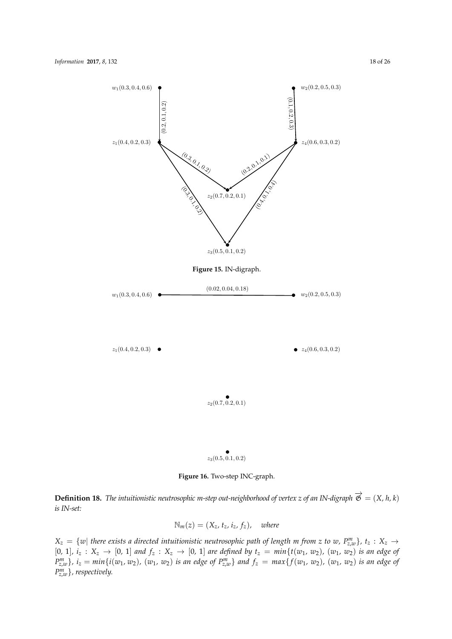<span id="page-17-0"></span>

**Figure 16.** Two-step INC-graph.

<span id="page-17-1"></span>**Definition 18.** *The intuitionistic neutrosophic m-step out-neighborhood of vertex z of an IN-digraph*  $\vec{\mathfrak{G}} = (X, h, k)$ *is IN-set:*

$$
\mathbb{N}_m(z) = (X_z, t_z, i_z, f_z), \quad \text{where}
$$

 $X_z = \{w|$  there exists a directed intuitionistic neutrosophic path of length m from z to w,  $P_{z,w}^m\}$ ,  $t_z: X_z \to$  $[0, 1], i_z: X_z \to [0, 1]$  and  $f_z: X_z \to [0, 1]$  are defined by  $t_z = min\{t(w_1, w_2), (w_1, w_2)$  is an edge of  $P_{z,w}^m$ ,  $i_z = min\{i(w_1, w_2), (w_1, w_2)$  is an edge of  $P_{z,w}^m\}$  and  $f_z = max\{f(w_1, w_2), (w_1, w_2)$  is an edge of *P m z*,*w*}*, respectively.*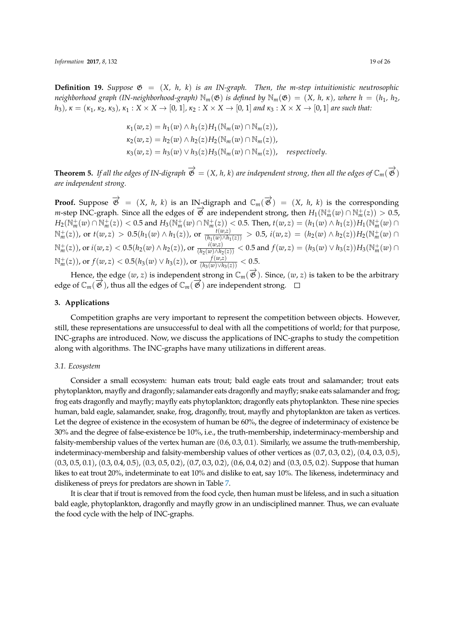*Information* **2017**, *8*, 132 19 of 26

**Definition 19.** *Suppose*  $\mathfrak{G} = (X, h, k)$  *is an IN-graph. Then, the m-step intuitionistic neutrosophic neighborhood graph (IN-neighborhood-graph)*  $\mathbb{N}_m(\mathfrak{G})$  *is defined by*  $\mathbb{N}_m(\mathfrak{G}) = (X, h, \kappa)$ *, where*  $h = (h_1, h_2, h_3)$  $h_3$ ),  $\kappa = (\kappa_1, \kappa_2, \kappa_3)$ ,  $\kappa_1 : X \times X \rightarrow [0, 1]$ ,  $\kappa_2 : X \times X \rightarrow [0, 1]$  and  $\kappa_3 : X \times X \rightarrow [0, 1]$  are such that:

$$
\kappa_1(w, z) = h_1(w) \wedge h_1(z) H_1(\mathbb{N}_m(w) \cap \mathbb{N}_m(z)),
$$
  
\n
$$
\kappa_2(w, z) = h_2(w) \wedge h_2(z) H_2(\mathbb{N}_m(w) \cap \mathbb{N}_m(z)),
$$
  
\n
$$
\kappa_3(w, z) = h_3(w) \vee h_3(z) H_3(\mathbb{N}_m(w) \cap \mathbb{N}_m(z)), respectively.
$$

**Theorem 5.** If all the edges of IN-digraph  $\overrightarrow{\mathfrak{G}} = (X, h, k)$  are independent strong, then all the edges of  $\mathbb{C}_m(\overrightarrow{\mathfrak{G}})$ *are independent strong.*

**Proof.** Suppose  $\overrightarrow{\mathfrak{G}} = (X, h, k)$  is an IN-digraph and  $\mathbb{C}_m(\overrightarrow{\mathfrak{G}}) = (X, h, k)$  is the corresponding *m*-step INC-graph. Since all the edges of  $\overrightarrow{\mathcal{B}}$  are independent strong, then  $H_1(\mathbb{N}_m^+(w) \cap \mathbb{N}_m^+(z)) > 0.5$ ,  $H_2(\mathbb{N}_m^+(w)\cap\mathbb{N}_m^+(z)) < 0.5$  and  $H_3(\mathbb{N}_m^+(w)\cap\mathbb{N}_m^+(z)) < 0.5$ . Then,  $t(w,z) = (h_1(w)\wedge h_1(z))H_1(\mathbb{N}_m^+(w)\cap\mathbb{N}_m^+(z))$  $\mathbb{N}_m^+(z)$ ), or  $t(w,z) > 0.5(h_1(w) \wedge h_1(z))$ , or  $\frac{t(w,z)}{(h_1(w) \wedge h_1(z))}$  $\frac{f(w,z)}{(h_1(w) \land h_1(z))}$  > 0.5,  $i(w,z) = (h_2(w) \land h_2(z))H_2(\mathbb{N}_m^+(w) \cap$  $\mathbb{N}_m^+(z))$ , or  $i(w,z) < 0.5(h_2(w) \wedge h_2(z))$ , or  $\frac{i(w,z)}{(h_2(w)/h_2(z))} < 0.5$  and  $f(w,z) = (h_3(w) \vee h_3(z))H_3(\mathbb{N}_m^+(w) \cap$  $\mathbb{N}_m^+(z)$ ), or  $f(w, z) < 0.5(h_3(w) \vee h_3(z))$ , or  $\frac{f(w, z)}{(h_3(w) \vee h_3(z))} < 0.5$ .

Hence, the edge  $(w, z)$  is independent strong in  $\mathbb{C}_m(\overrightarrow{\mathfrak{G}})$ . Since,  $(w, z)$  is taken to be the arbitrary edge of  $\mathbb{C}_m(\overrightarrow{\mathfrak{G}})$ , thus all the edges of  $\mathbb{C}_m(\overrightarrow{\mathfrak{G}})$  are independent strong.

## <span id="page-18-0"></span>**3. Applications**

Competition graphs are very important to represent the competition between objects. However, still, these representations are unsuccessful to deal with all the competitions of world; for that purpose, INC-graphs are introduced. Now, we discuss the applications of INC-graphs to study the competition along with algorithms. The INC-graphs have many utilizations in different areas.

#### *3.1. Ecosystem*

Consider a small ecosystem: human eats trout; bald eagle eats trout and salamander; trout eats phytoplankton, mayfly and dragonfly; salamander eats dragonfly and mayfly; snake eats salamander and frog; frog eats dragonfly and mayfly; mayfly eats phytoplankton; dragonfly eats phytoplankton. These nine species human, bald eagle, salamander, snake, frog, dragonfly, trout, mayfly and phytoplankton are taken as vertices. Let the degree of existence in the ecosystem of human be 60%, the degree of indeterminacy of existence be 30% and the degree of false-existence be 10%, i.e., the truth-membership, indeterminacy-membership and falsity-membership values of the vertex human are (0.6, 0.3, 0.1). Similarly, we assume the truth-membership, indeterminacy-membership and falsity-membership values of other vertices as (0.7, 0.3, 0.2), (0.4, 0.3, 0.5), (0.3, 0.5, 0.1), (0.3, 0.4, 0.5), (0.3, 0.5, 0.2), (0.7, 0.3, 0.2), (0.6, 0.4, 0.2) and (0.3, 0.5, 0.2). Suppose that human likes to eat trout 20%, indeterminate to eat 10% and dislike to eat, say 10%. The likeness, indeterminacy and dislikeness of preys for predators are shown in Table [7.](#page-19-0)

It is clear that if trout is removed from the food cycle, then human must be lifeless, and in such a situation bald eagle, phytoplankton, dragonfly and mayfly grow in an undisciplined manner. Thus, we can evaluate the food cycle with the help of INC-graphs.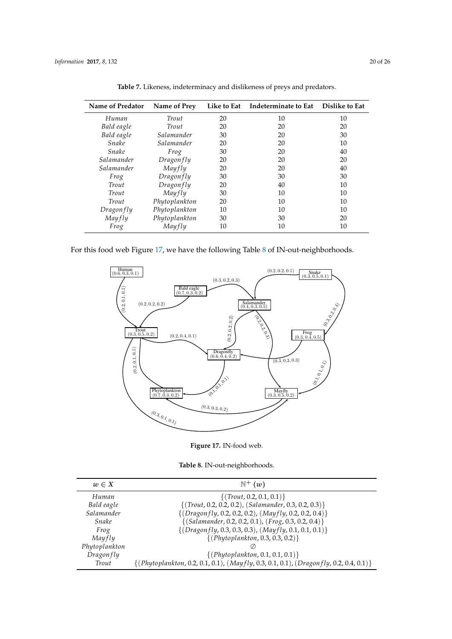<span id="page-19-0"></span>

| Name of Predator | Name of Prey  | Like to Eat | Indeterminate to Eat | <b>Dislike to Eat</b> |
|------------------|---------------|-------------|----------------------|-----------------------|
| Human            | Trout         | 20          | 10                   | 10                    |
| Bald eagle       | Trout         | 20          | 20                   | 20                    |
| Bald eagle       | Salamander    | 30          | 20                   | 30                    |
| Snake            | Salamander    | 20          | 20                   | 10                    |
| Snake            | Frog          | 30          | 20                   | 40                    |
| Salamander       | Dragon fly    | 20          | 20                   | 20                    |
| Salamander       | Mayfly        | 20          | 20                   | 40                    |
| Frog             | Dragon fly    | 30          | 30                   | 30                    |
| Trout            | Dragonfly     | 20          | 40                   | 10                    |
| Trout            | Mayfly        | 30          | 10                   | 10                    |
| Trout            | Phytoplankton | 20          | 10                   | 10                    |
| Dragonfly        | Phytoplankton | 10          | 10                   | 10                    |
| Mayfly           | Phytoplankton | 30          | 30                   | 20                    |
| Frog             | Mayfly        | 10          | 10                   | 10                    |

**Table 7.** Likeness, indeterminacy and dislikeness of preys and predators.

<span id="page-19-1"></span>For this food web Figure [17,](#page-19-1) we have the following Table [8](#page-19-2) of IN-out-neighborhoods.



**Figure 17.** IN-food web.

**Table 8.** IN-out-neighborhoods.

<span id="page-19-2"></span>

| $w \in X$        | $\mathbb{N}^+$ $(w)$                                                                        |
|------------------|---------------------------------------------------------------------------------------------|
| Human            | $\{(Trott, 0.2, 0.1, 0.1)\}\$                                                               |
| Bald eagle       | $\{(Trout, 0.2, 0.2, 0.2), (Salamander, 0.3, 0.2, 0.3)\}\$                                  |
| Salamander       | $\{(Dragonfly, 0.2, 0.2, 0.2), (Mayfly, 0.2, 0.2, 0.4)\}$                                   |
| Snake            | $\{(Salamander, 0.2, 0.2, 0.1), (Frog, 0.3, 0.2, 0.4)\}\$                                   |
| Frog             | $\{(Dragonfly, 0.3, 0.3, 0.3), (Mayfly, 0.1, 0.1, 0.1)\}$                                   |
| Mayfly           | $\{(Phytoplankton, 0.3, 0.3, 0.2)\}$                                                        |
| Phytoplankton    |                                                                                             |
| <b>Dragonfly</b> | $\{(Phytoplankton, 0.1, 0.1, 0.1)\}\$                                                       |
| Trout            | $\{(Phytoplankton, 0.2, 0.1, 0.1), (May fly, 0.3, 0.1, 0.1), (Dragon fly, 0.2, 0.4, 0.1)\}$ |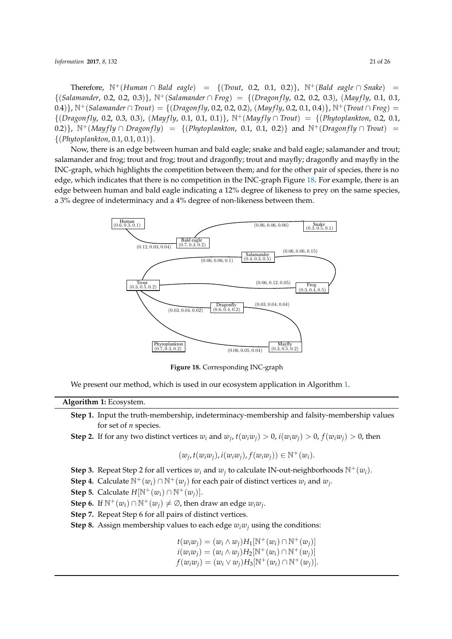*Information* **2017**, *8*, 132 21 of 26

Therefore,  $\mathbb{N}^+$ (*Human* ∩ *Bald eagle*) = {(*Trout,* 0.2, 0.1, 0.2)},  $\mathbb{N}^+$ (*Bald eagle* ∩ *Snake*) = {(*Salamander*, 0.2, 0.2, 0.3)}, <sup>N</sup>+(*Salamander* <sup>∩</sup> *Frog*) = {(*Dragonf ly*, 0.2, 0.2, 0.3), (*Mayf ly*, 0.1, 0.1, 0.4)},  $\mathbb{N}^+$ (*Salamander* ∩ *Trout*) = {(*Dragonfly*, 0.2, 0.2, 0.2), (*Mayfly*, 0.2, 0.1, 0.4)},  $\mathbb{N}^+$ (*Trout* ∩ *Frog*) =  $\{(Dragon fly, 0.2, 0.3, 0.3), (Mayfly, 0.1, 0.1, 0.1)\}, N^+(Mayfly \cap Trout) = \{(Phytoplankton, 0.2, 0.1, 0.1, 0.1, 0.1)\}$ 0.2)},  $\mathbb{N}^+($ *Mayfly*  $\cap$  *Dragonfly* = {(*Phytoplankton,* 0.1, 0.1, 0.2)} and  $\mathbb{N}^+($ *Dragonfly*  $\cap$  *Trout*) = {(*Phytoplankton*, 0.1, 0.1, 0.1)}.

Now, there is an edge between human and bald eagle; snake and bald eagle; salamander and trout; salamander and frog; trout and frog; trout and dragonfly; trout and mayfly; dragonfly and mayfly in the INC-graph, which highlights the competition between them; and for the other pair of species, there is no edge, which indicates that there is no competition in the INC-graph Figure [18.](#page-20-0) For example, there is an edge between human and bald eagle indicating a 12% degree of likeness to prey on the same species, a 3% degree of indeterminacy and a 4% degree of non-likeness between them.

<span id="page-20-0"></span>

**Figure 18.** Corresponding INC-graph

We present our method, which is used in our ecosystem application in Algorithm [1.](#page-20-1)

## **Algorithm 1:** Ecosystem.

- <span id="page-20-1"></span>**Step 1.** Input the truth-membership, indeterminacy-membership and falsity-membership values for set of *n* species.
- **Step 2.** If for any two distinct vertices  $w_i$  and  $w_j$ ,  $t(w_iw_j) > 0$ ,  $i(w_iw_j) > 0$ ,  $f(w_iw_j) > 0$ , then

$$
(w_j, t(w_i w_j), i(w_i w_j), f(w_i w_j)) \in \mathbb{N}^+(w_i).
$$

- **Step 3.** Repeat Step 2 for all vertices  $w_i$  and  $w_j$  to calculate IN-out-neighborhoods  $\mathbb{N}^+(w_i)$ .
- **Step 4.** Calculate  $\mathbb{N}^+(w_i) \cap \mathbb{N}^+(w_j)$  for each pair of distinct vertices  $w_i$  and  $w_j$ .
- **Step 5.** Calculate  $H[\mathbb{N}^+(w_i) \cap \mathbb{N}^+(w_i)].$
- **Step 6.** If  $\mathbb{N}^+(w_i) \cap \mathbb{N}^+(w_j) \neq \emptyset$ , then draw an edge  $w_iw_j$ .
- **Step 7.** Repeat Step 6 for all pairs of distinct vertices.
- **Step 8.** Assign membership values to each edge  $w_iw_j$  using the conditions:

$$
t(w_i w_j) = (w_i \wedge w_j) H_1[N^+(w_i) \cap N^+(w_j)] \n i(w_i w_j) = (w_i \wedge w_j) H_2[N^+(w_i) \cap N^+(w_j)] \n f(w_i w_j) = (w_i \vee w_j) H_3[N^+(w_i) \cap N^+(w_j)].
$$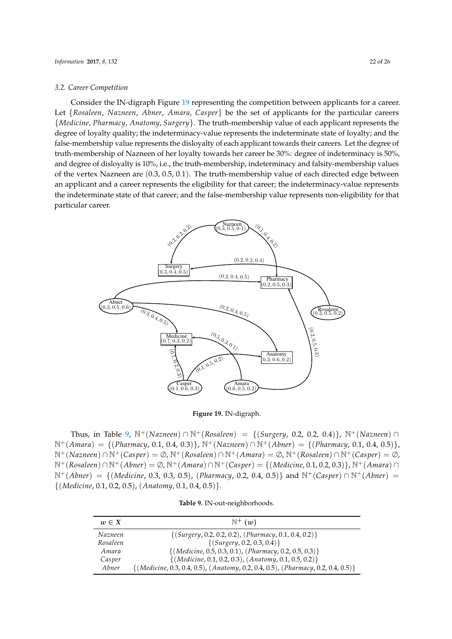#### *3.2. Career Competition*

Consider the IN-digraph Figure [19](#page-21-0) representing the competition between applicants for a career. Let {*Rosaleen*, *Nazneen*, *Abner*, *Amara*, *Casper*} be the set of applicants for the particular careers {*Medicine*, *Pharmacy*, *Anatomy*, *Surgery*}. The truth-membership value of each applicant represents the degree of loyalty quality; the indeterminacy-value represents the indeterminate state of loyalty; and the false-membership value represents the disloyalty of each applicant towards their careers. Let the degree of truth-membership of Nazneen of her loyalty towards her career be 30%: degree of indeterminacy is 50%, and degree of disloyalty is 10%, i.e., the truth-membership, indeterminacy and falsity-membership values of the vertex Nazneen are (0.3, 0.5, 0.1). The truth-membership value of each directed edge between an applicant and a career represents the eligibility for that career; the indeterminacy-value represents the indeterminate state of that career; and the false-membership value represents non-eligibility for that particular career.

<span id="page-21-0"></span>

**Figure 19.** IN-digraph.

Thus, in Table [9,](#page-21-1) <sup>N</sup>+(*Nazneen*) <sup>∩</sup> <sup>N</sup>+(*Rosaleen*) = {(*Surgery*, 0.2, 0.2, 0.4)}, <sup>N</sup>+(*Nazneen*) <sup>∩</sup> <sup>N</sup>+(*Amara*) = {(*Pharmacy*, 0.1, 0.4, 0.3)}, <sup>N</sup>+(*Nazneen*) <sup>∩</sup> <sup>N</sup>+(*Abner*) = {(*Pharmacy*, 0.1, 0.4, 0.5)}, <sup>N</sup>+(*Nazneen*) <sup>∩</sup> <sup>N</sup>+(*Casper*) = <sup>∅</sup>, <sup>N</sup>+(*Rosaleen*) <sup>∩</sup> <sup>N</sup>+(*Amara*) = <sup>∅</sup>, <sup>N</sup>+(*Rosaleen*) <sup>∩</sup> <sup>N</sup>+(*Casper*) = <sup>∅</sup>, <sup>N</sup>+(*Rosaleen*) <sup>∩</sup> <sup>N</sup>+(*Abner*) = <sup>∅</sup>, <sup>N</sup>+(*Amara*) <sup>∩</sup> <sup>N</sup>+(*Casper*) = {(*Medicine*, 0.1, 0.2, 0.3)}, <sup>N</sup>+(*Amara*) <sup>∩</sup> <sup>N</sup>+(*Abner*) = {(*Medicine*, 0.3, 0.3, 0.5), (*Pharmacy*, 0.2, 0.4, 0.5)} and <sup>N</sup>+(*Casper*) <sup>∩</sup> <sup>N</sup>+(*Abner*) = {(*Medicine*, 0.1, 0.2, 0.5), (*Anatomy*, 0.1, 0.4, 0.5)}.

**Table 9.** IN-out-neighborhoods.

<span id="page-21-1"></span>

| $w \in X$ | $\mathbb{N}^+$ $(w)$                                                                  |
|-----------|---------------------------------------------------------------------------------------|
| Nazneen   | $\{(Surgery, 0.2, 0.2, 0.2), (Pharmacy, 0.1, 0.4, 0.2)\}\$                            |
| Rosaleen  | $\{(Surgery, 0.2, 0.3, 0.4)\}$                                                        |
| Amara     | $\{(Medicine, 0.5, 0.3, 0.1), (Pharmacy, 0.2, 0.5, 0.3)\}$                            |
| Casper    | $\{(Medicine, 0.1, 0.2, 0.3), (Anotomy, 0.1, 0.5, 0.2)\}$                             |
| Abner     | $\{(Medicine, 0.3, 0.4, 0.5), (Anotomy, 0.2, 0.4, 0.5), (Pharmacy, 0.2, 0.4, 0.5)\}\$ |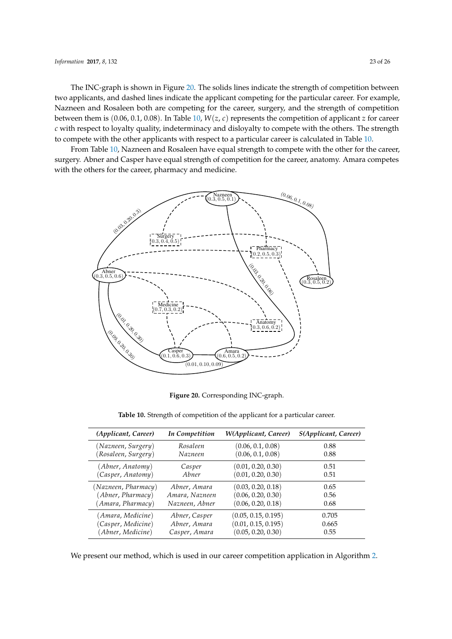The INC-graph is shown in Figure [20.](#page-22-0) The solids lines indicate the strength of competition between two applicants, and dashed lines indicate the applicant competing for the particular career. For example, Nazneen and Rosaleen both are competing for the career, surgery, and the strength of competition between them is (0.06, 0.1, 0.08). In Table [10,](#page-22-1) *W*(*z*, *c*) represents the competition of applicant *z* for career *c* with respect to loyalty quality, indeterminacy and disloyalty to compete with the others. The strength to compete with the other applicants with respect to a particular career is calculated in Table [10.](#page-22-1)

From Table [10,](#page-22-1) Nazneen and Rosaleen have equal strength to compete with the other for the career, surgery. Abner and Casper have equal strength of competition for the career, anatomy. Amara competes with the others for the career, pharmacy and medicine.

<span id="page-22-0"></span>

**Figure 20.** Corresponding INC-graph.

<span id="page-22-1"></span>

| (Applicant, Career) | In Competition | W(Applicant, Career) | S(Applicant, Career) |
|---------------------|----------------|----------------------|----------------------|
| (Nazneen, Surgery)  | Rosaleen       | (0.06, 0.1, 0.08)    | 0.88                 |
| (Rosaleen, Surgery) | Nazneen        | (0.06, 0.1, 0.08)    | 0.88                 |
| (Abner, Anatomy)    | Casper         | (0.01, 0.20, 0.30)   | 0.51                 |
| (Casper, Anatomy)   | Abner          | (0.01, 0.20, 0.30)   | 0.51                 |
| (Nazneen, Pharmacy) | Abner, Amara   | (0.03, 0.20, 0.18)   | 0.65                 |
| (Abner, Pharmacy)   | Amara, Nazneen | (0.06, 0.20, 0.30)   | 0.56                 |
| (Amara, Pharmacy)   | Nazneen, Abner | (0.06, 0.20, 0.18)   | 0.68                 |
| (Amara, Medicine)   | Abner, Casper  | (0.05, 0.15, 0.195)  | 0.705                |
| (Casper, Medicine)  | Abner, Amara   | (0.01, 0.15, 0.195)  | 0.665                |
| (Abner, Medicine)   | Casper, Amara  | (0.05, 0.20, 0.30)   | 0.55                 |

We present our method, which is used in our career competition application in Algorithm [2.](#page-23-3)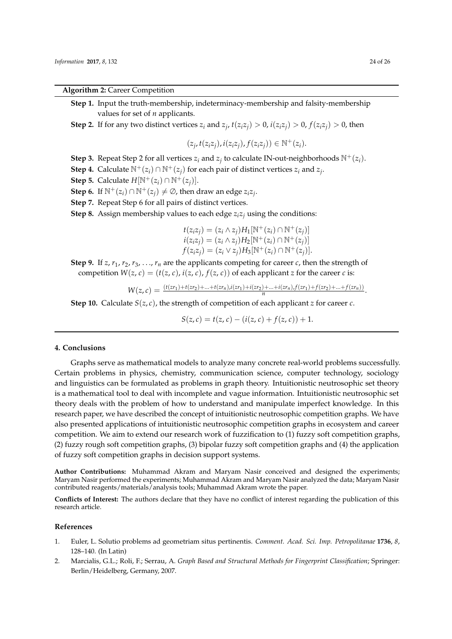**Algorithm 2:** Career Competition

- <span id="page-23-3"></span>**Step 1.** Input the truth-membership, indeterminacy-membership and falsity-membership values for set of *n* applicants.
- **Step 2.** If for any two distinct vertices  $z_i$  and  $z_j$ ,  $t(z_i z_j) > 0$ ,  $i(z_i z_j) > 0$ ,  $f(z_i z_j) > 0$ , then

$$
(z_j,t(z_iz_j),i(z_iz_j),f(z_iz_j))\in\mathbb{N}^+(z_i).
$$

- **Step 3.** Repeat Step 2 for all vertices  $z_i$  and  $z_j$  to calculate IN-out-neighborhoods  $\mathbb{N}^+(z_i)$ .
- **Step 4.** Calculate  $\mathbb{N}^+(z_i) \cap \mathbb{N}^+(z_j)$  for each pair of distinct vertices  $z_i$  and  $z_j$ .
- **Step 5.** Calculate  $H[\mathbb{N}^+(z_i) \cap \mathbb{N}^+(z_i)].$
- **Step 6.** If  $\mathbb{N}^+(z_i) \cap \mathbb{N}^+(z_j) \neq \emptyset$ , then draw an edge  $z_i z_j$ .
- **Step 7.** Repeat Step 6 for all pairs of distinct vertices.
- **Step 8.** Assign membership values to each edge *ziz<sup>j</sup>* using the conditions:
	- *t*(*z*<sub>*i*</sub>*z*<sub>*j*</sub>) = (*z*<sub>*i*</sub></sup> ∧ *z*<sub>*j*</sub>)*H*<sub>1</sub>[N<sup>+</sup>(*z*<sub>*i*</sub>) ∩ N<sup>+</sup>(*z*<sub>*j*</sub>)]  $i(z_i z_j) = (z_i \wedge z_j) H_2[N^+(z_i) \cap N^+(z_j)]$  $f(z_i z_j) = (z_i \vee z_j) H_3[N^+(z_i) \cap N^+(z_j)].$
- **Step 9.** If  $z, r_1, r_2, r_3, \ldots, r_n$  are the applicants competing for career *c*, then the strength of competition  $W(z, c) = (t(z, c), i(z, c), f(z, c))$  of each applicant *z* for the career *c* is:

$$
W(z,c) = \frac{(t(zr_1) + t(zr_2) + ... + t(zr_n)i(zr_1) + i(zr_2) + ... + i(zr_n)f(zr_1) + f(zr_2) + ... + f(zr_n))}{n}.
$$

**Step 10.** Calculate  $S(z, c)$ , the strength of competition of each applicant *z* for career *c*.

$$
S(z,c) = t(z,c) - (i(z,c) + f(z,c)) + 1.
$$

### <span id="page-23-2"></span>**4. Conclusions**

Graphs serve as mathematical models to analyze many concrete real-world problems successfully. Certain problems in physics, chemistry, communication science, computer technology, sociology and linguistics can be formulated as problems in graph theory. Intuitionistic neutrosophic set theory is a mathematical tool to deal with incomplete and vague information. Intuitionistic neutrosophic set theory deals with the problem of how to understand and manipulate imperfect knowledge. In this research paper, we have described the concept of intuitionistic neutrosophic competition graphs. We have also presented applications of intuitionistic neutrosophic competition graphs in ecosystem and career competition. We aim to extend our research work of fuzzification to (1) fuzzy soft competition graphs, (2) fuzzy rough soft competition graphs, (3) bipolar fuzzy soft competition graphs and (4) the application of fuzzy soft competition graphs in decision support systems.

**Author Contributions:** Muhammad Akram and Maryam Nasir conceived and designed the experiments; Maryam Nasir performed the experiments; Muhammad Akram and Maryam Nasir analyzed the data; Maryam Nasir contributed reagents/materials/analysis tools; Muhammad Akram wrote the paper.

**Conflicts of Interest:** The authors declare that they have no conflict of interest regarding the publication of this research article.

# **References**

- <span id="page-23-0"></span>1. Euler, L. Solutio problems ad geometriam situs pertinentis. *Comment. Acad. Sci. Imp. Petropolitanae* **1736**, *8*, 128–140. (In Latin)
- <span id="page-23-1"></span>2. Marcialis, G.L.; Roli, F.; Serrau, A. *Graph Based and Structural Methods for Fingerprint Classification*; Springer: Berlin/Heidelberg, Germany, 2007.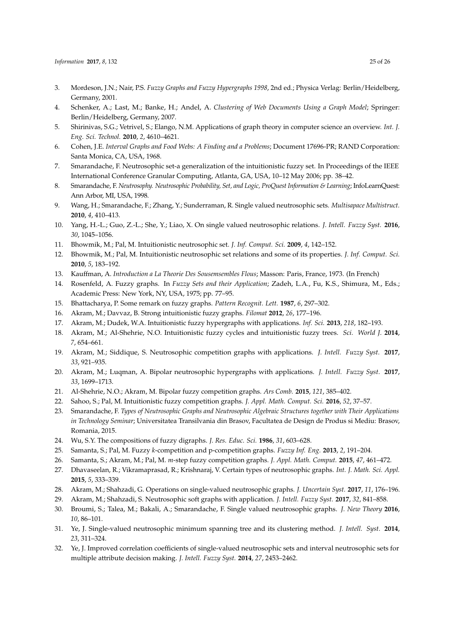- 3. Mordeson, J.N.; Nair, P.S. *Fuzzy Graphs and Fuzzy Hypergraphs 1998*, 2nd ed.; Physica Verlag: Berlin/Heidelberg, Germany, 2001.
- 4. Schenker, A.; Last, M.; Banke, H.; Andel, A. *Clustering of Web Documents Using a Graph Model*; Springer: Berlin/Heidelberg, Germany, 2007.
- <span id="page-24-0"></span>5. Shirinivas, S.G.; Vetrivel, S.; Elango, N.M. Applications of graph theory in computer science an overview. *Int. J. Eng. Sci. Technol.* **2010**, *2*, 4610–4621.
- <span id="page-24-1"></span>6. Cohen, J.E. *Interval Graphs and Food Webs: A Finding and a Problems*; Document 17696-PR; RAND Corporation: Santa Monica, CA, USA, 1968.
- <span id="page-24-2"></span>7. Smarandache, F. Neutrosophic set-a generalization of the intuitionistic fuzzy set. In Proceedings of the IEEE International Conference Granular Computing, Atlanta, GA, USA, 10–12 May 2006; pp. 38–42.
- <span id="page-24-3"></span>8. Smarandache, F. *Neutrosophy. Neutrosophic Probability, Set, and Logic, ProQuest Information & Learning*; InfoLearnQuest: Ann Arbor, MI, USA, 1998.
- <span id="page-24-4"></span>9. Wang, H.; Smarandache, F.; Zhang, Y.; Sunderraman, R. Single valued neutrosophic sets. *Multisapace Multistruct.* **2010**, *4*, 410–413.
- <span id="page-24-5"></span>10. Yang, H.-L.; Guo, Z.-L.; She, Y.; Liao, X. On single valued neutrosophic relations. *J. Intell. Fuzzy Syst.* **2016**, *30*, 1045–1056.
- <span id="page-24-6"></span>11. Bhowmik, M.; Pal, M. Intuitionistic neutrosophic set. *J. Inf. Comput. Sci.* **2009**, *4*, 142–152.
- <span id="page-24-7"></span>12. Bhowmik, M.; Pal, M. Intuitionistic neutrosophic set relations and some of its properties. *J. Inf. Comput. Sci.* **2010**, *5*, 183–192.
- <span id="page-24-8"></span>13. Kauffman, A. *Introduction a La Theorie Des Sousemsembles Flous*; Masson: Paris, France, 1973. (In French)
- 14. Rosenfeld, A. Fuzzy graphs. In *Fuzzy Sets and their Application*; Zadeh, L.A., Fu, K.S., Shimura, M., Eds.; Academic Press: New York, NY, USA, 1975; pp. 77–95.
- 15. Bhattacharya, P. Some remark on fuzzy graphs. *Pattern Recognit. Lett.* **1987**, *6*, 297–302.
- 16. Akram, M.; Davvaz, B. Strong intuitionistic fuzzy graphs. *Filomat* **2012**, *26*, 177–196.
- 17. Akram, M.; Dudek, W.A. Intuitionistic fuzzy hypergraphs with applications. *Inf. Sci.* **2013**, *218*, 182–193.
- 18. Akram, M.; Al-Shehrie, N.O. Intuitionistic fuzzy cycles and intuitionistic fuzzy trees. *Sci. World J.* **2014**, *7*, 654–661.
- 19. Akram, M.; Siddique, S. Neutrosophic competition graphs with applications. *J. Intell. Fuzzy Syst.* **2017**, *33*, 921–935.
- 20. Akram, M.; Luqman, A. Bipolar neutrosophic hypergraphs with applications. *J. Intell. Fuzzy Syst.* **2017**, *33*, 1699–1713.
- 21. Al-Shehrie, N.O.; Akram, M. Bipolar fuzzy competition graphs. *Ars Comb.* **2015**, *121*, 385–402.
- <span id="page-24-9"></span>22. Sahoo, S.; Pal, M. Intuitionistic fuzzy competition graphs. *J. Appl. Math. Comput. Sci.* **2016**, *52*, 37–57.
- <span id="page-24-10"></span>23. Smarandache, F. *Types of Neutrosophic Graphs and Neutrosophic Algebraic Structures together with Their Applications in Technology Seminar*; Universitatea Transilvania din Brasov, Facultatea de Design de Produs si Mediu: Brasov, Romania, 2015.
- <span id="page-24-11"></span>24. Wu, S.Y. The compositions of fuzzy digraphs. *J. Res. Educ. Sci.* **1986**, *31*, 603–628.
- <span id="page-24-12"></span>25. Samanta, S.; Pal, M. Fuzzy *k*-competition and p-competition graphs. *Fuzzy Inf. Eng.* **2013**, *2*, 191–204.
- <span id="page-24-13"></span>26. Samanta, S.; Akram, M.; Pal, M. *m*-step fuzzy competition graphs. *J. Appl. Math. Comput.* **2015**, *47*, 461–472.
- <span id="page-24-14"></span>27. Dhavaseelan, R.; Vikramaprasad, R.; Krishnaraj, V. Certain types of neutrosophic graphs. *Int. J. Math. Sci. Appl.* **2015**, *5*, 333–339.
- <span id="page-24-15"></span>28. Akram, M.; Shahzadi, G. Operations on single-valued neutrosophic graphs. *J. Uncertain Syst.* **2017**, *11*, 176–196.
- <span id="page-24-16"></span>29. Akram, M.; Shahzadi, S. Neutrosophic soft graphs with application. *J. Intell. Fuzzy Syst.* **2017**, *32*, 841–858.
- <span id="page-24-17"></span>30. Broumi, S.; Talea, M.; Bakali, A.; Smarandache, F. Single valued neutrosophic graphs. *J. New Theory* **2016**, *10*, 86–101.
- <span id="page-24-18"></span>31. Ye, J. Single-valued neutrosophic minimum spanning tree and its clustering method. *J. Intell. Syst.* **2014**, *23*, 311–324.
- 32. Ye, J. Improved correlation coefficients of single-valued neutrosophic sets and interval neutrosophic sets for multiple attribute decision making. *J. Intell. Fuzzy Syst.* **2014**, *27*, 2453–2462.